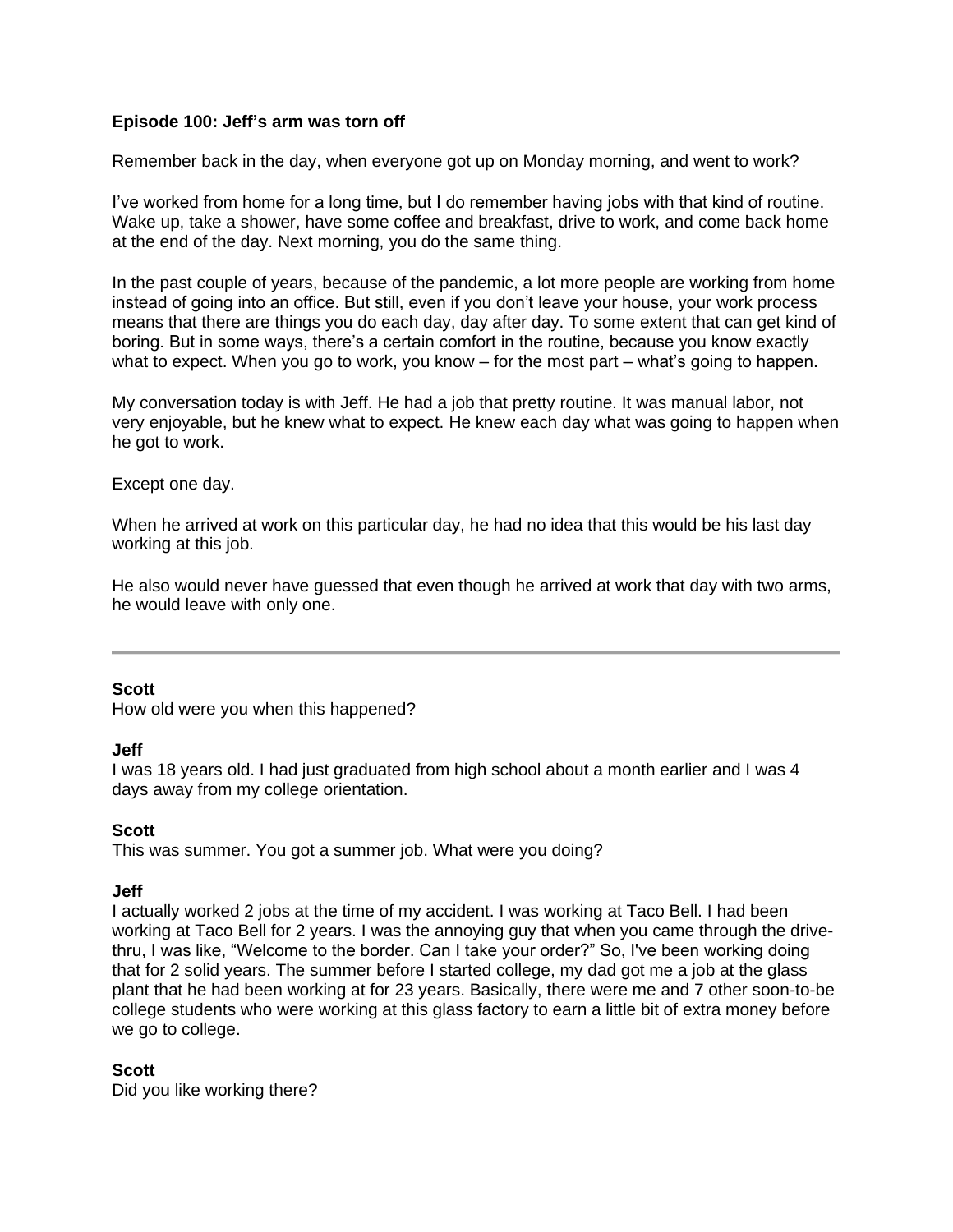### **Episode 100: Jeff's arm was torn off**

Remember back in the day, when everyone got up on Monday morning, and went to work?

I've worked from home for a long time, but I do remember having jobs with that kind of routine. Wake up, take a shower, have some coffee and breakfast, drive to work, and come back home at the end of the day. Next morning, you do the same thing.

In the past couple of years, because of the pandemic, a lot more people are working from home instead of going into an office. But still, even if you don't leave your house, your work process means that there are things you do each day, day after day. To some extent that can get kind of boring. But in some ways, there's a certain comfort in the routine, because you know exactly what to expect. When you go to work, you know – for the most part – what's going to happen.

My conversation today is with Jeff. He had a job that pretty routine. It was manual labor, not very enjoyable, but he knew what to expect. He knew each day what was going to happen when he got to work.

#### Except one day.

When he arrived at work on this particular day, he had no idea that this would be his last day working at this job.

He also would never have guessed that even though he arrived at work that day with two arms, he would leave with only one.

#### **Scott**

How old were you when this happened?

#### **Jeff**

I was 18 years old. I had just graduated from high school about a month earlier and I was 4 days away from my college orientation.

# **Scott**

This was summer. You got a summer job. What were you doing?

#### **Jeff**

I actually worked 2 jobs at the time of my accident. I was working at Taco Bell. I had been working at Taco Bell for 2 years. I was the annoying guy that when you came through the drivethru, I was like, "Welcome to the border. Can I take your order?" So, I've been working doing that for 2 solid years. The summer before I started college, my dad got me a job at the glass plant that he had been working at for 23 years. Basically, there were me and 7 other soon-to-be college students who were working at this glass factory to earn a little bit of extra money before we go to college.

# **Scott**

Did you like working there?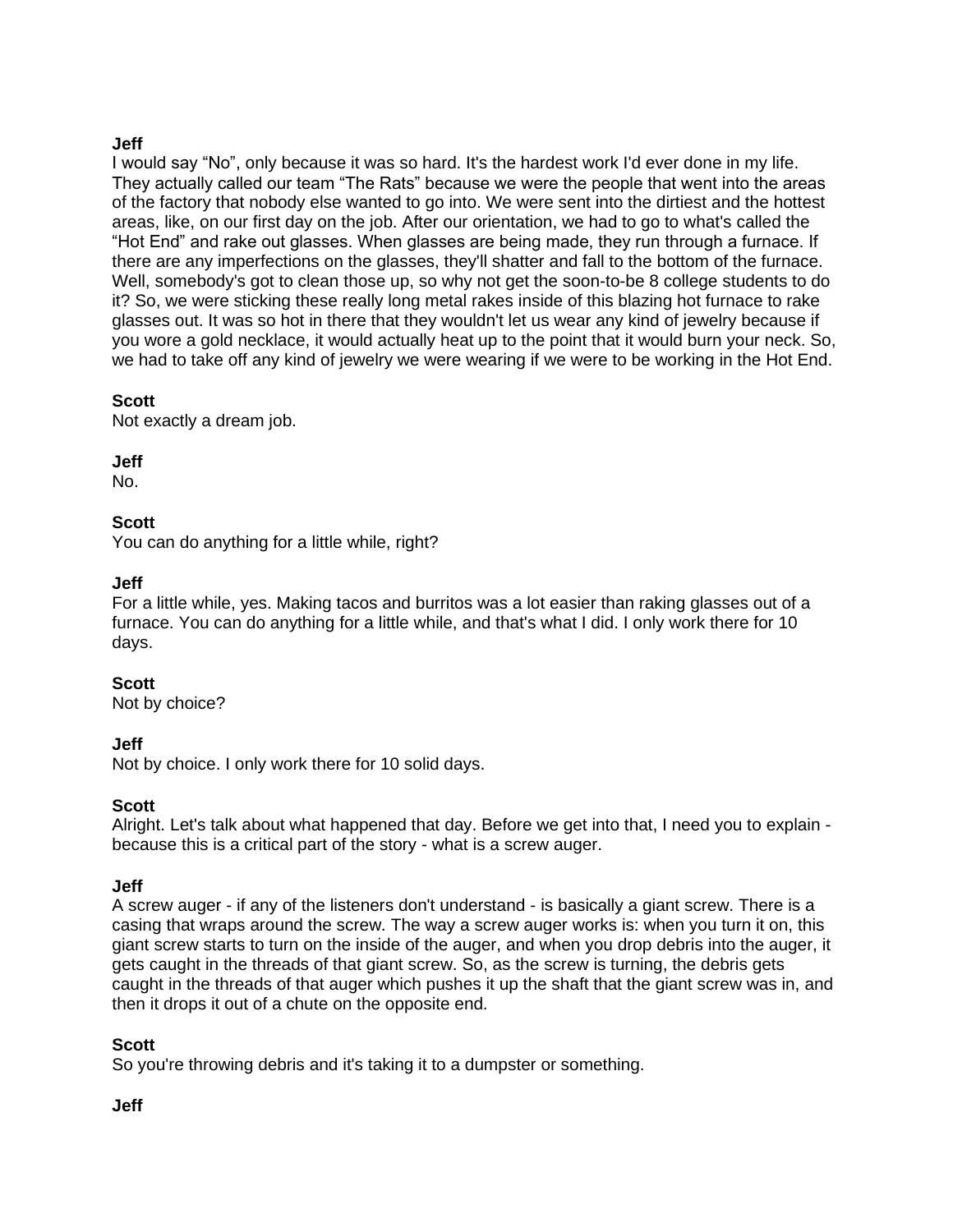# **Jeff**

I would say "No", only because it was so hard. It's the hardest work I'd ever done in my life. They actually called our team "The Rats" because we were the people that went into the areas of the factory that nobody else wanted to go into. We were sent into the dirtiest and the hottest areas, like, on our first day on the job. After our orientation, we had to go to what's called the "Hot End" and rake out glasses. When glasses are being made, they run through a furnace. If there are any imperfections on the glasses, they'll shatter and fall to the bottom of the furnace. Well, somebody's got to clean those up, so why not get the soon-to-be 8 college students to do it? So, we were sticking these really long metal rakes inside of this blazing hot furnace to rake glasses out. It was so hot in there that they wouldn't let us wear any kind of jewelry because if you wore a gold necklace, it would actually heat up to the point that it would burn your neck. So, we had to take off any kind of jewelry we were wearing if we were to be working in the Hot End.

# **Scott**

Not exactly a dream job.

**Jeff**

No.

# **Scott**

You can do anything for a little while, right?

### **Jeff**

For a little while, yes. Making tacos and burritos was a lot easier than raking glasses out of a furnace. You can do anything for a little while, and that's what I did. I only work there for 10 days.

# **Scott**

Not by choice?

# **Jeff**

Not by choice. I only work there for 10 solid days.

# **Scott**

Alright. Let's talk about what happened that day. Before we get into that, I need you to explain because this is a critical part of the story - what is a screw auger.

#### **Jeff**

A screw auger - if any of the listeners don't understand - is basically a giant screw. There is a casing that wraps around the screw. The way a screw auger works is: when you turn it on, this giant screw starts to turn on the inside of the auger, and when you drop debris into the auger, it gets caught in the threads of that giant screw. So, as the screw is turning, the debris gets caught in the threads of that auger which pushes it up the shaft that the giant screw was in, and then it drops it out of a chute on the opposite end.

# **Scott**

So you're throwing debris and it's taking it to a dumpster or something.

# **Jeff**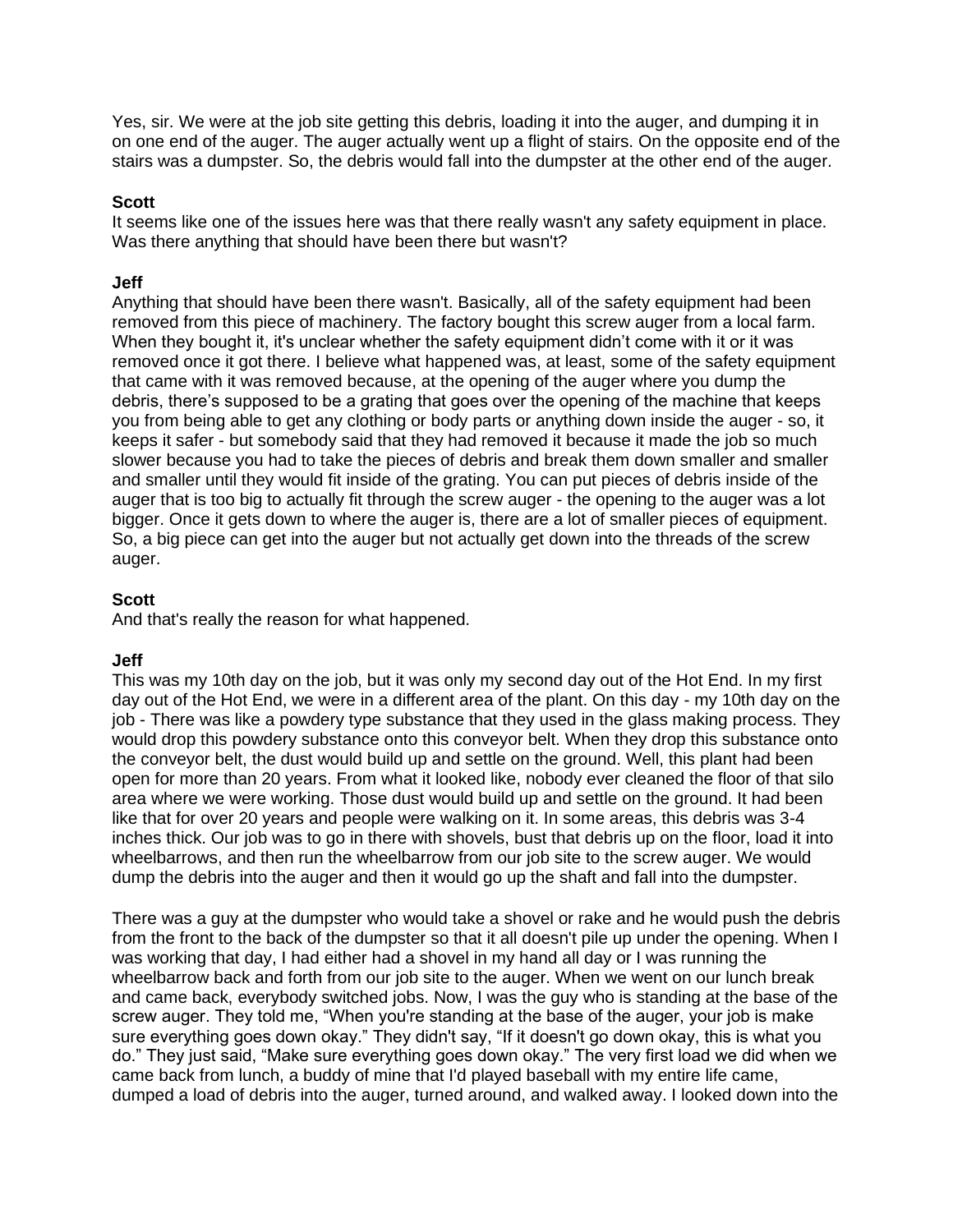Yes, sir. We were at the job site getting this debris, loading it into the auger, and dumping it in on one end of the auger. The auger actually went up a flight of stairs. On the opposite end of the stairs was a dumpster. So, the debris would fall into the dumpster at the other end of the auger.

### **Scott**

It seems like one of the issues here was that there really wasn't any safety equipment in place. Was there anything that should have been there but wasn't?

### **Jeff**

Anything that should have been there wasn't. Basically, all of the safety equipment had been removed from this piece of machinery. The factory bought this screw auger from a local farm. When they bought it, it's unclear whether the safety equipment didn't come with it or it was removed once it got there. I believe what happened was, at least, some of the safety equipment that came with it was removed because, at the opening of the auger where you dump the debris, there's supposed to be a grating that goes over the opening of the machine that keeps you from being able to get any clothing or body parts or anything down inside the auger - so, it keeps it safer - but somebody said that they had removed it because it made the job so much slower because you had to take the pieces of debris and break them down smaller and smaller and smaller until they would fit inside of the grating. You can put pieces of debris inside of the auger that is too big to actually fit through the screw auger - the opening to the auger was a lot bigger. Once it gets down to where the auger is, there are a lot of smaller pieces of equipment. So, a big piece can get into the auger but not actually get down into the threads of the screw auger.

# **Scott**

And that's really the reason for what happened.

# **Jeff**

This was my 10th day on the job, but it was only my second day out of the Hot End. In my first day out of the Hot End, we were in a different area of the plant. On this day - my 10th day on the job - There was like a powdery type substance that they used in the glass making process. They would drop this powdery substance onto this conveyor belt. When they drop this substance onto the conveyor belt, the dust would build up and settle on the ground. Well, this plant had been open for more than 20 years. From what it looked like, nobody ever cleaned the floor of that silo area where we were working. Those dust would build up and settle on the ground. It had been like that for over 20 years and people were walking on it. In some areas, this debris was 3-4 inches thick. Our job was to go in there with shovels, bust that debris up on the floor, load it into wheelbarrows, and then run the wheelbarrow from our job site to the screw auger. We would dump the debris into the auger and then it would go up the shaft and fall into the dumpster.

There was a guy at the dumpster who would take a shovel or rake and he would push the debris from the front to the back of the dumpster so that it all doesn't pile up under the opening. When I was working that day, I had either had a shovel in my hand all day or I was running the wheelbarrow back and forth from our job site to the auger. When we went on our lunch break and came back, everybody switched jobs. Now, I was the guy who is standing at the base of the screw auger. They told me, "When you're standing at the base of the auger, your job is make sure everything goes down okay." They didn't say, "If it doesn't go down okay, this is what you do." They just said, "Make sure everything goes down okay." The very first load we did when we came back from lunch, a buddy of mine that I'd played baseball with my entire life came, dumped a load of debris into the auger, turned around, and walked away. I looked down into the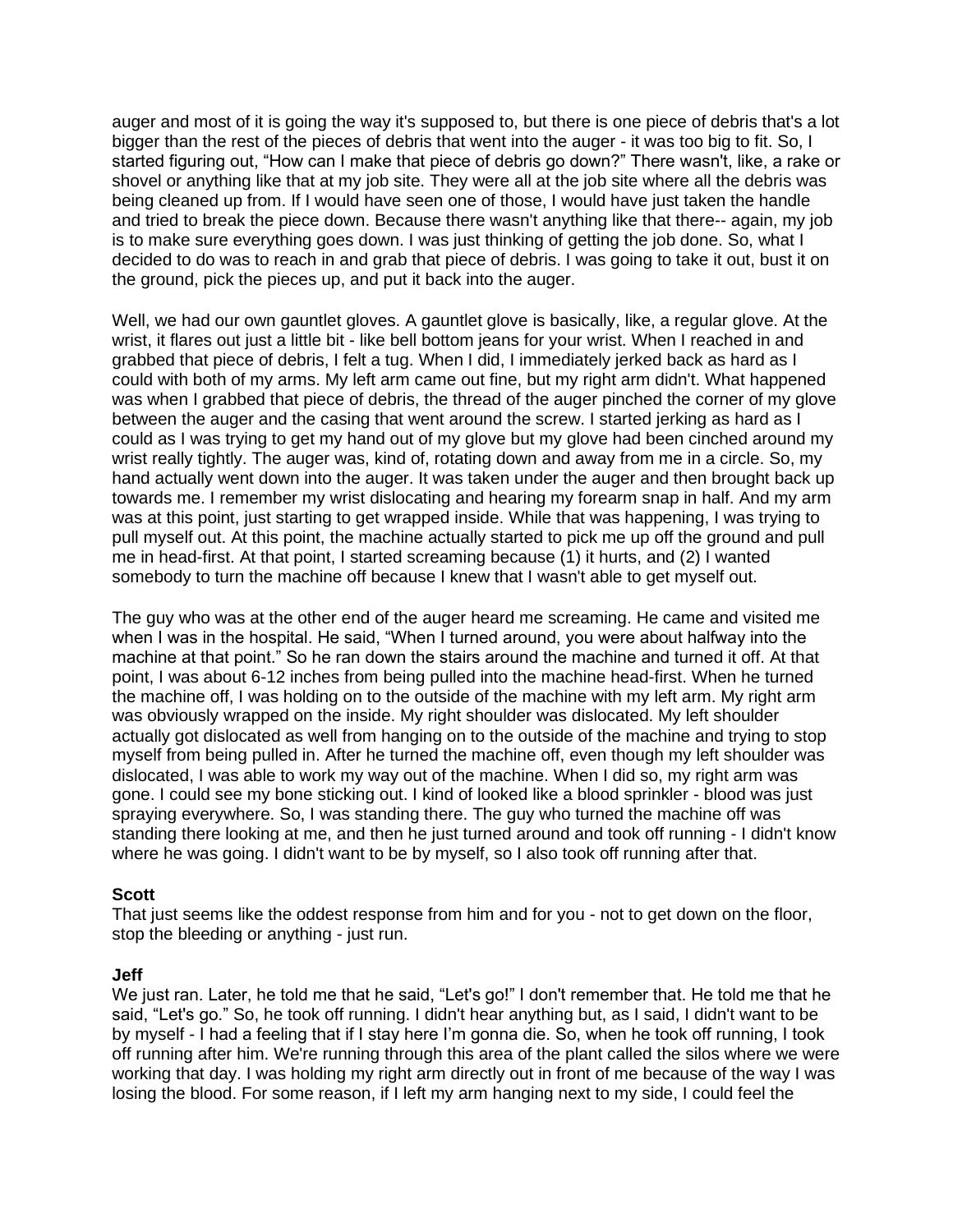auger and most of it is going the way it's supposed to, but there is one piece of debris that's a lot bigger than the rest of the pieces of debris that went into the auger - it was too big to fit. So, I started figuring out, "How can I make that piece of debris go down?" There wasn't, like, a rake or shovel or anything like that at my job site. They were all at the job site where all the debris was being cleaned up from. If I would have seen one of those, I would have just taken the handle and tried to break the piece down. Because there wasn't anything like that there-- again, my job is to make sure everything goes down. I was just thinking of getting the job done. So, what I decided to do was to reach in and grab that piece of debris. I was going to take it out, bust it on the ground, pick the pieces up, and put it back into the auger.

Well, we had our own gauntlet gloves. A gauntlet glove is basically, like, a regular glove. At the wrist, it flares out just a little bit - like bell bottom jeans for your wrist. When I reached in and grabbed that piece of debris, I felt a tug. When I did, I immediately jerked back as hard as I could with both of my arms. My left arm came out fine, but my right arm didn't. What happened was when I grabbed that piece of debris, the thread of the auger pinched the corner of my glove between the auger and the casing that went around the screw. I started jerking as hard as I could as I was trying to get my hand out of my glove but my glove had been cinched around my wrist really tightly. The auger was, kind of, rotating down and away from me in a circle. So, my hand actually went down into the auger. It was taken under the auger and then brought back up towards me. I remember my wrist dislocating and hearing my forearm snap in half. And my arm was at this point, just starting to get wrapped inside. While that was happening, I was trying to pull myself out. At this point, the machine actually started to pick me up off the ground and pull me in head-first. At that point, I started screaming because (1) it hurts, and (2) I wanted somebody to turn the machine off because I knew that I wasn't able to get myself out.

The guy who was at the other end of the auger heard me screaming. He came and visited me when I was in the hospital. He said, "When I turned around, you were about halfway into the machine at that point." So he ran down the stairs around the machine and turned it off. At that point, I was about 6-12 inches from being pulled into the machine head-first. When he turned the machine off, I was holding on to the outside of the machine with my left arm. My right arm was obviously wrapped on the inside. My right shoulder was dislocated. My left shoulder actually got dislocated as well from hanging on to the outside of the machine and trying to stop myself from being pulled in. After he turned the machine off, even though my left shoulder was dislocated, I was able to work my way out of the machine. When I did so, my right arm was gone. I could see my bone sticking out. I kind of looked like a blood sprinkler - blood was just spraying everywhere. So, I was standing there. The guy who turned the machine off was standing there looking at me, and then he just turned around and took off running - I didn't know where he was going. I didn't want to be by myself, so I also took off running after that.

# **Scott**

That just seems like the oddest response from him and for you - not to get down on the floor, stop the bleeding or anything - just run.

#### **Jeff**

We just ran. Later, he told me that he said, "Let's go!" I don't remember that. He told me that he said, "Let's go." So, he took off running. I didn't hear anything but, as I said, I didn't want to be by myself - I had a feeling that if I stay here I'm gonna die. So, when he took off running, I took off running after him. We're running through this area of the plant called the silos where we were working that day. I was holding my right arm directly out in front of me because of the way I was losing the blood. For some reason, if I left my arm hanging next to my side, I could feel the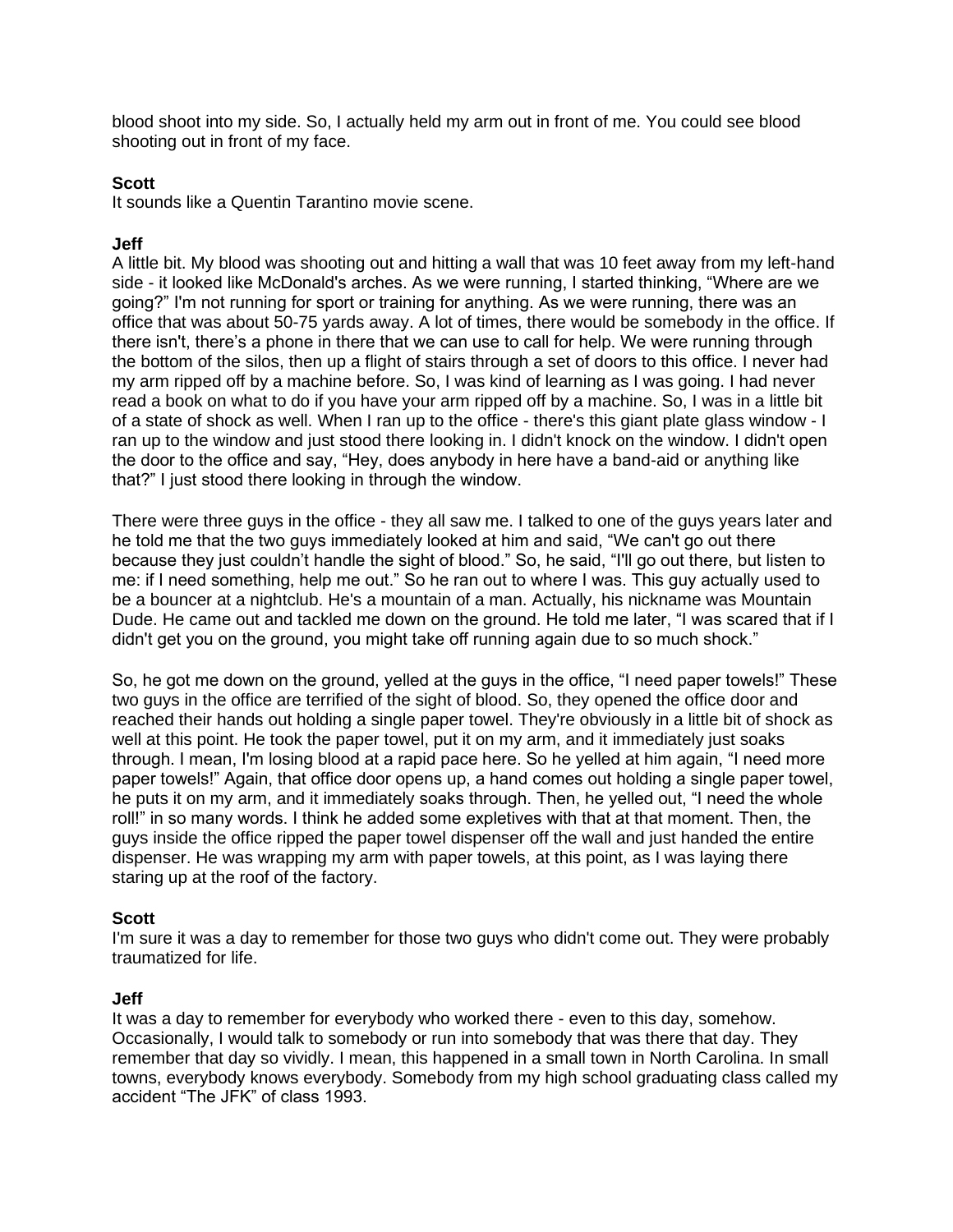blood shoot into my side. So, I actually held my arm out in front of me. You could see blood shooting out in front of my face.

#### **Scott**

It sounds like a Quentin Tarantino movie scene.

### **Jeff**

A little bit. My blood was shooting out and hitting a wall that was 10 feet away from my left-hand side - it looked like McDonald's arches. As we were running, I started thinking, "Where are we going?" I'm not running for sport or training for anything. As we were running, there was an office that was about 50-75 yards away. A lot of times, there would be somebody in the office. If there isn't, there's a phone in there that we can use to call for help. We were running through the bottom of the silos, then up a flight of stairs through a set of doors to this office. I never had my arm ripped off by a machine before. So, I was kind of learning as I was going. I had never read a book on what to do if you have your arm ripped off by a machine. So, I was in a little bit of a state of shock as well. When I ran up to the office - there's this giant plate glass window - I ran up to the window and just stood there looking in. I didn't knock on the window. I didn't open the door to the office and say, "Hey, does anybody in here have a band-aid or anything like that?" I just stood there looking in through the window.

There were three guys in the office - they all saw me. I talked to one of the guys years later and he told me that the two guys immediately looked at him and said, "We can't go out there because they just couldn't handle the sight of blood." So, he said, "I'll go out there, but listen to me: if I need something, help me out." So he ran out to where I was. This guy actually used to be a bouncer at a nightclub. He's a mountain of a man. Actually, his nickname was Mountain Dude. He came out and tackled me down on the ground. He told me later, "I was scared that if I didn't get you on the ground, you might take off running again due to so much shock."

So, he got me down on the ground, yelled at the guys in the office, "I need paper towels!" These two guys in the office are terrified of the sight of blood. So, they opened the office door and reached their hands out holding a single paper towel. They're obviously in a little bit of shock as well at this point. He took the paper towel, put it on my arm, and it immediately just soaks through. I mean, I'm losing blood at a rapid pace here. So he yelled at him again, "I need more paper towels!" Again, that office door opens up, a hand comes out holding a single paper towel, he puts it on my arm, and it immediately soaks through. Then, he yelled out, "I need the whole roll!" in so many words. I think he added some expletives with that at that moment. Then, the guys inside the office ripped the paper towel dispenser off the wall and just handed the entire dispenser. He was wrapping my arm with paper towels, at this point, as I was laying there staring up at the roof of the factory.

# **Scott**

I'm sure it was a day to remember for those two guys who didn't come out. They were probably traumatized for life.

#### **Jeff**

It was a day to remember for everybody who worked there - even to this day, somehow. Occasionally, I would talk to somebody or run into somebody that was there that day. They remember that day so vividly. I mean, this happened in a small town in North Carolina. In small towns, everybody knows everybody. Somebody from my high school graduating class called my accident "The JFK" of class 1993.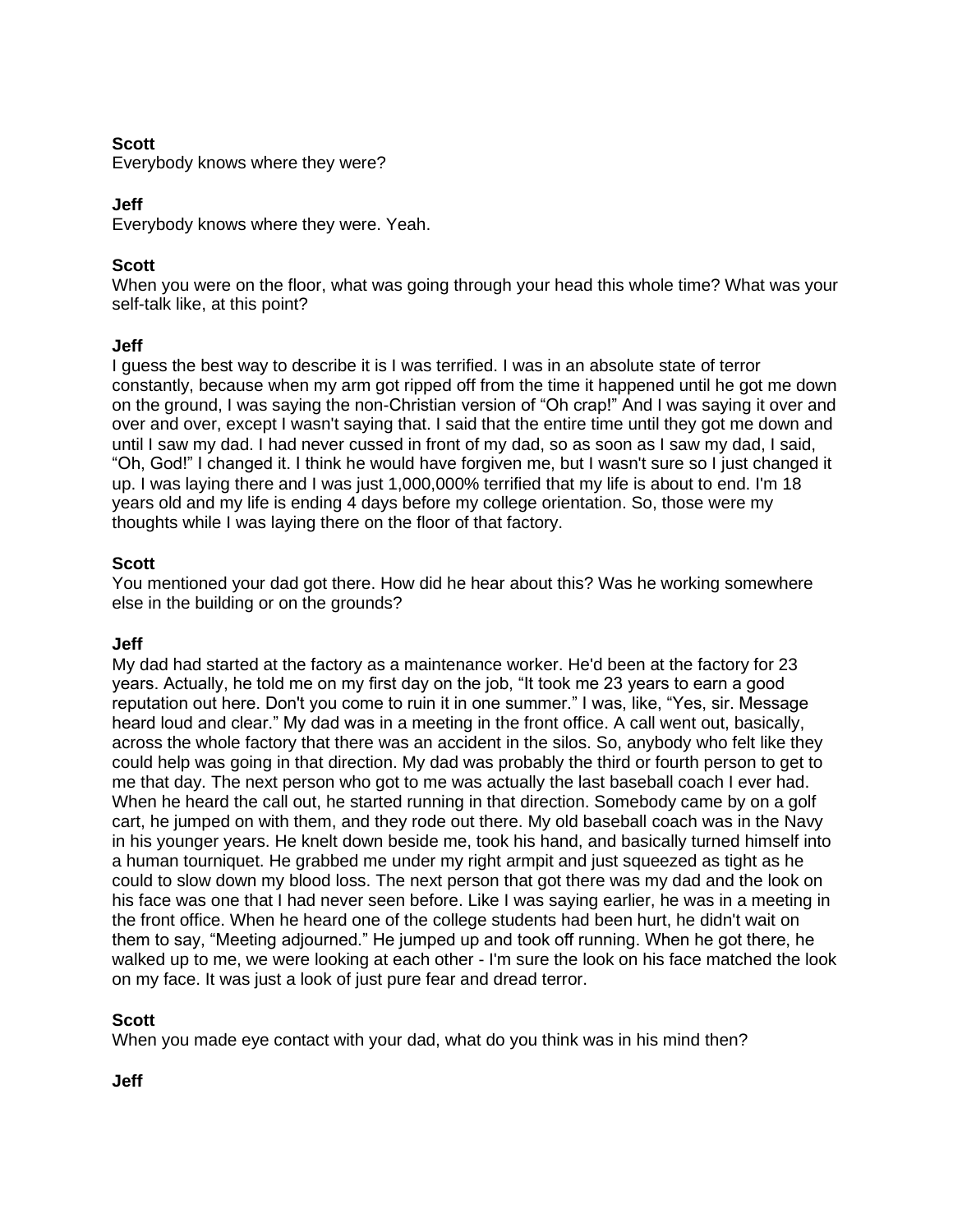# **Scott**

Everybody knows where they were?

# **Jeff**

Everybody knows where they were. Yeah.

# **Scott**

When you were on the floor, what was going through your head this whole time? What was your self-talk like, at this point?

# **Jeff**

I guess the best way to describe it is I was terrified. I was in an absolute state of terror constantly, because when my arm got ripped off from the time it happened until he got me down on the ground, I was saying the non-Christian version of "Oh crap!" And I was saying it over and over and over, except I wasn't saying that. I said that the entire time until they got me down and until I saw my dad. I had never cussed in front of my dad, so as soon as I saw my dad, I said, "Oh, God!" I changed it. I think he would have forgiven me, but I wasn't sure so I just changed it up. I was laying there and I was just 1,000,000% terrified that my life is about to end. I'm 18 years old and my life is ending 4 days before my college orientation. So, those were my thoughts while I was laying there on the floor of that factory.

# **Scott**

You mentioned your dad got there. How did he hear about this? Was he working somewhere else in the building or on the grounds?

# **Jeff**

My dad had started at the factory as a maintenance worker. He'd been at the factory for 23 years. Actually, he told me on my first day on the job, "It took me 23 years to earn a good reputation out here. Don't you come to ruin it in one summer." I was, like, "Yes, sir. Message heard loud and clear." My dad was in a meeting in the front office. A call went out, basically, across the whole factory that there was an accident in the silos. So, anybody who felt like they could help was going in that direction. My dad was probably the third or fourth person to get to me that day. The next person who got to me was actually the last baseball coach I ever had. When he heard the call out, he started running in that direction. Somebody came by on a golf cart, he jumped on with them, and they rode out there. My old baseball coach was in the Navy in his younger years. He knelt down beside me, took his hand, and basically turned himself into a human tourniquet. He grabbed me under my right armpit and just squeezed as tight as he could to slow down my blood loss. The next person that got there was my dad and the look on his face was one that I had never seen before. Like I was saying earlier, he was in a meeting in the front office. When he heard one of the college students had been hurt, he didn't wait on them to say, "Meeting adjourned." He jumped up and took off running. When he got there, he walked up to me, we were looking at each other - I'm sure the look on his face matched the look on my face. It was just a look of just pure fear and dread terror.

# **Scott**

When you made eye contact with your dad, what do you think was in his mind then?

# **Jeff**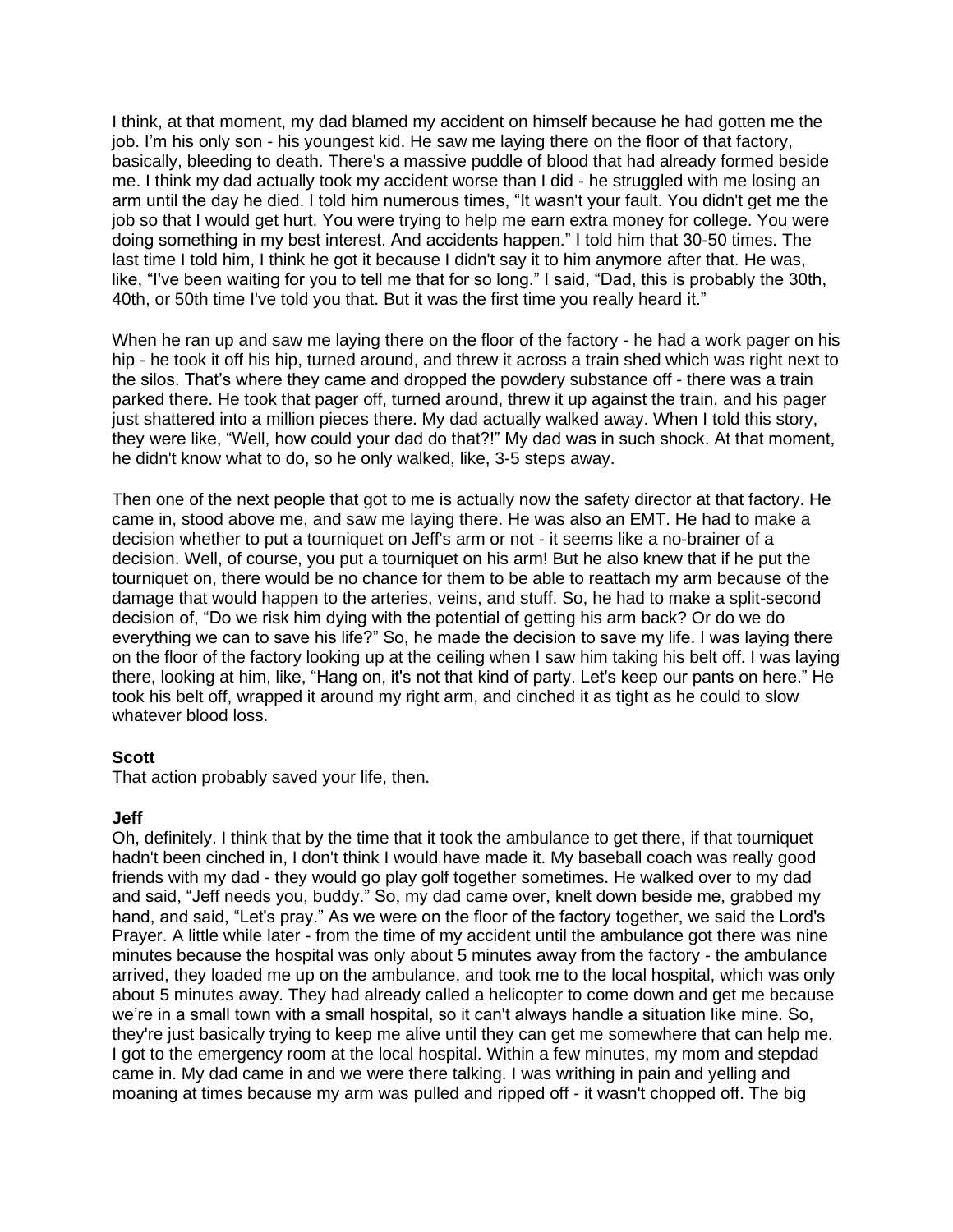I think, at that moment, my dad blamed my accident on himself because he had gotten me the job. I'm his only son - his youngest kid. He saw me laying there on the floor of that factory, basically, bleeding to death. There's a massive puddle of blood that had already formed beside me. I think my dad actually took my accident worse than I did - he struggled with me losing an arm until the day he died. I told him numerous times, "It wasn't your fault. You didn't get me the job so that I would get hurt. You were trying to help me earn extra money for college. You were doing something in my best interest. And accidents happen." I told him that 30-50 times. The last time I told him, I think he got it because I didn't say it to him anymore after that. He was, like, "I've been waiting for you to tell me that for so long." I said, "Dad, this is probably the 30th, 40th, or 50th time I've told you that. But it was the first time you really heard it."

When he ran up and saw me laying there on the floor of the factory - he had a work pager on his hip - he took it off his hip, turned around, and threw it across a train shed which was right next to the silos. That's where they came and dropped the powdery substance off - there was a train parked there. He took that pager off, turned around, threw it up against the train, and his pager just shattered into a million pieces there. My dad actually walked away. When I told this story, they were like, "Well, how could your dad do that?!" My dad was in such shock. At that moment, he didn't know what to do, so he only walked, like, 3-5 steps away.

Then one of the next people that got to me is actually now the safety director at that factory. He came in, stood above me, and saw me laying there. He was also an EMT. He had to make a decision whether to put a tourniquet on Jeff's arm or not - it seems like a no-brainer of a decision. Well, of course, you put a tourniquet on his arm! But he also knew that if he put the tourniquet on, there would be no chance for them to be able to reattach my arm because of the damage that would happen to the arteries, veins, and stuff. So, he had to make a split-second decision of, "Do we risk him dying with the potential of getting his arm back? Or do we do everything we can to save his life?" So, he made the decision to save my life. I was laying there on the floor of the factory looking up at the ceiling when I saw him taking his belt off. I was laying there, looking at him, like, "Hang on, it's not that kind of party. Let's keep our pants on here." He took his belt off, wrapped it around my right arm, and cinched it as tight as he could to slow whatever blood loss.

# **Scott**

That action probably saved your life, then.

#### **Jeff**

Oh, definitely. I think that by the time that it took the ambulance to get there, if that tourniquet hadn't been cinched in, I don't think I would have made it. My baseball coach was really good friends with my dad - they would go play golf together sometimes. He walked over to my dad and said, "Jeff needs you, buddy." So, my dad came over, knelt down beside me, grabbed my hand, and said, "Let's pray." As we were on the floor of the factory together, we said the Lord's Prayer. A little while later - from the time of my accident until the ambulance got there was nine minutes because the hospital was only about 5 minutes away from the factory - the ambulance arrived, they loaded me up on the ambulance, and took me to the local hospital, which was only about 5 minutes away. They had already called a helicopter to come down and get me because we're in a small town with a small hospital, so it can't always handle a situation like mine. So, they're just basically trying to keep me alive until they can get me somewhere that can help me. I got to the emergency room at the local hospital. Within a few minutes, my mom and stepdad came in. My dad came in and we were there talking. I was writhing in pain and yelling and moaning at times because my arm was pulled and ripped off - it wasn't chopped off. The big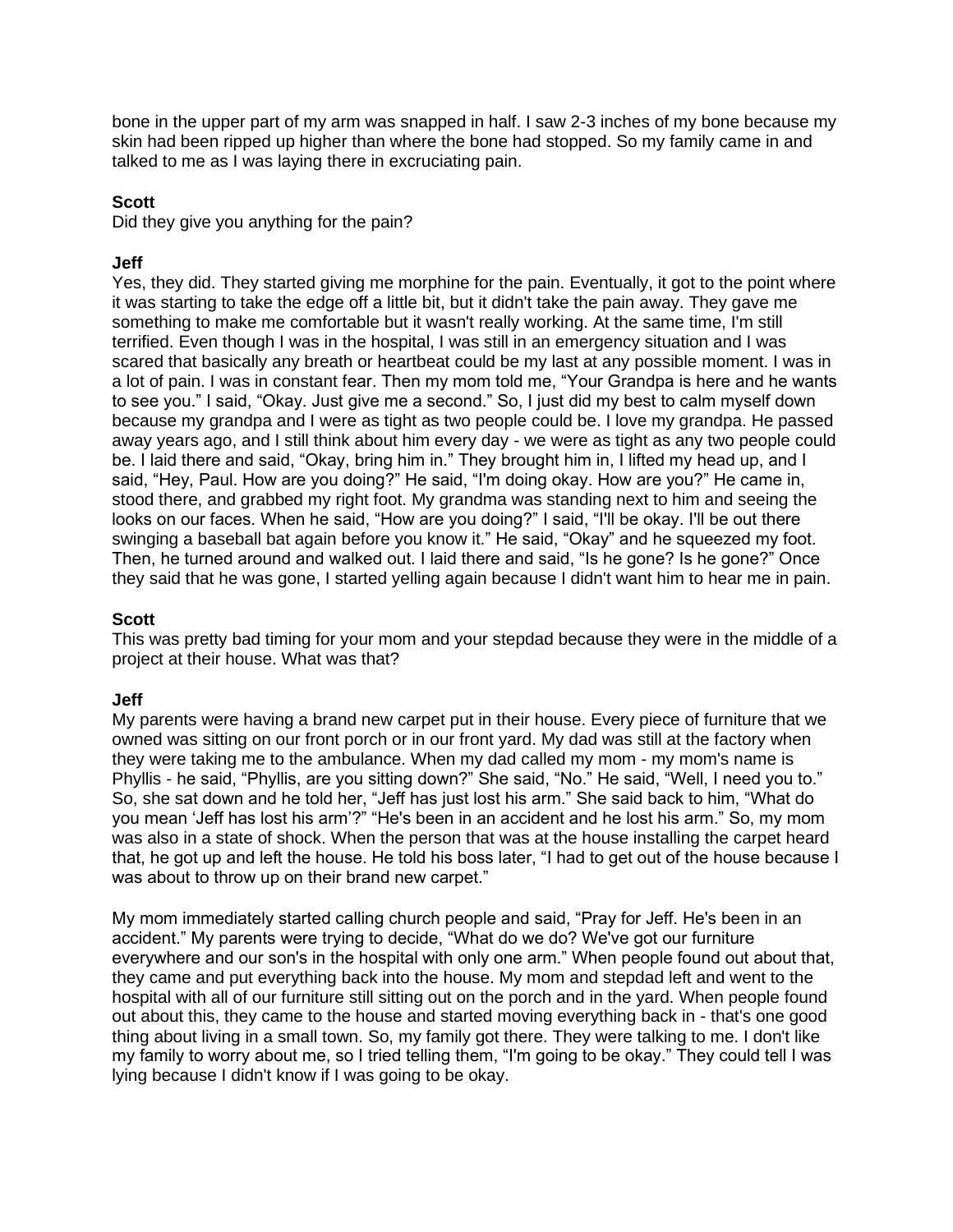bone in the upper part of my arm was snapped in half. I saw 2-3 inches of my bone because my skin had been ripped up higher than where the bone had stopped. So my family came in and talked to me as I was laying there in excruciating pain.

# **Scott**

Did they give you anything for the pain?

# **Jeff**

Yes, they did. They started giving me morphine for the pain. Eventually, it got to the point where it was starting to take the edge off a little bit, but it didn't take the pain away. They gave me something to make me comfortable but it wasn't really working. At the same time, I'm still terrified. Even though I was in the hospital, I was still in an emergency situation and I was scared that basically any breath or heartbeat could be my last at any possible moment. I was in a lot of pain. I was in constant fear. Then my mom told me, "Your Grandpa is here and he wants to see you." I said, "Okay. Just give me a second." So, I just did my best to calm myself down because my grandpa and I were as tight as two people could be. I love my grandpa. He passed away years ago, and I still think about him every day - we were as tight as any two people could be. I laid there and said, "Okay, bring him in." They brought him in, I lifted my head up, and I said, "Hey, Paul. How are you doing?" He said, "I'm doing okay. How are you?" He came in, stood there, and grabbed my right foot. My grandma was standing next to him and seeing the looks on our faces. When he said, "How are you doing?" I said, "I'll be okay. I'll be out there swinging a baseball bat again before you know it." He said, "Okay" and he squeezed my foot. Then, he turned around and walked out. I laid there and said, "Is he gone? Is he gone?" Once they said that he was gone, I started yelling again because I didn't want him to hear me in pain.

# **Scott**

This was pretty bad timing for your mom and your stepdad because they were in the middle of a project at their house. What was that?

# **Jeff**

My parents were having a brand new carpet put in their house. Every piece of furniture that we owned was sitting on our front porch or in our front yard. My dad was still at the factory when they were taking me to the ambulance. When my dad called my mom - my mom's name is Phyllis - he said, "Phyllis, are you sitting down?" She said, "No." He said, "Well, I need you to." So, she sat down and he told her, "Jeff has just lost his arm." She said back to him, "What do you mean 'Jeff has lost his arm'?" "He's been in an accident and he lost his arm." So, my mom was also in a state of shock. When the person that was at the house installing the carpet heard that, he got up and left the house. He told his boss later, "I had to get out of the house because I was about to throw up on their brand new carpet."

My mom immediately started calling church people and said, "Pray for Jeff. He's been in an accident." My parents were trying to decide, "What do we do? We've got our furniture everywhere and our son's in the hospital with only one arm." When people found out about that, they came and put everything back into the house. My mom and stepdad left and went to the hospital with all of our furniture still sitting out on the porch and in the yard. When people found out about this, they came to the house and started moving everything back in - that's one good thing about living in a small town. So, my family got there. They were talking to me. I don't like my family to worry about me, so I tried telling them, "I'm going to be okay." They could tell I was lying because I didn't know if I was going to be okay.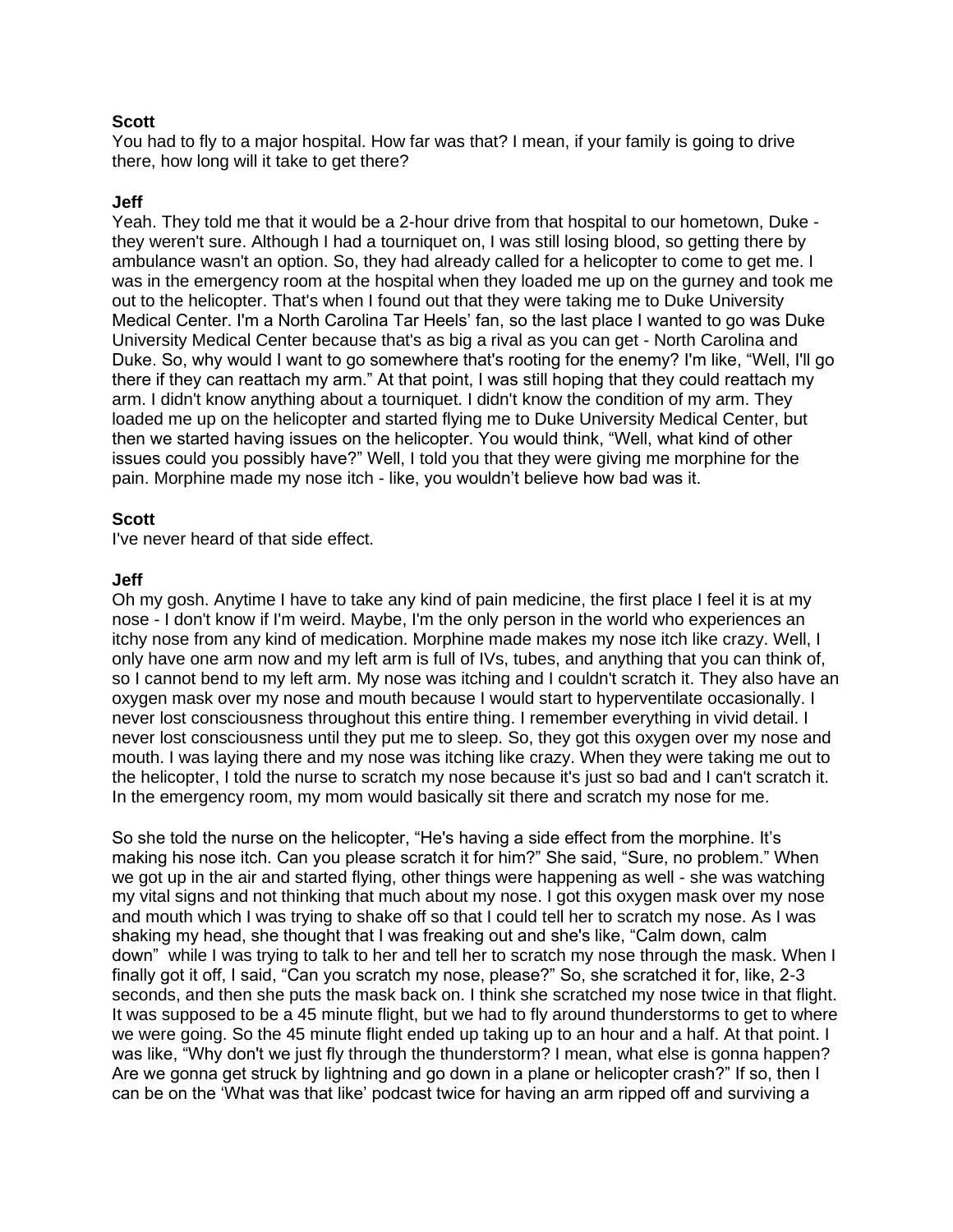#### **Scott**

You had to fly to a major hospital. How far was that? I mean, if your family is going to drive there, how long will it take to get there?

#### **Jeff**

Yeah. They told me that it would be a 2-hour drive from that hospital to our hometown, Duke they weren't sure. Although I had a tourniquet on, I was still losing blood, so getting there by ambulance wasn't an option. So, they had already called for a helicopter to come to get me. I was in the emergency room at the hospital when they loaded me up on the gurney and took me out to the helicopter. That's when I found out that they were taking me to Duke University Medical Center. I'm a North Carolina Tar Heels' fan, so the last place I wanted to go was Duke University Medical Center because that's as big a rival as you can get - North Carolina and Duke. So, why would I want to go somewhere that's rooting for the enemy? I'm like, "Well, I'll go there if they can reattach my arm." At that point, I was still hoping that they could reattach my arm. I didn't know anything about a tourniquet. I didn't know the condition of my arm. They loaded me up on the helicopter and started flying me to Duke University Medical Center, but then we started having issues on the helicopter. You would think, "Well, what kind of other issues could you possibly have?" Well, I told you that they were giving me morphine for the pain. Morphine made my nose itch - like, you wouldn't believe how bad was it.

#### **Scott**

I've never heard of that side effect.

#### **Jeff**

Oh my gosh. Anytime I have to take any kind of pain medicine, the first place I feel it is at my nose - I don't know if I'm weird. Maybe, I'm the only person in the world who experiences an itchy nose from any kind of medication. Morphine made makes my nose itch like crazy. Well, I only have one arm now and my left arm is full of IVs, tubes, and anything that you can think of, so I cannot bend to my left arm. My nose was itching and I couldn't scratch it. They also have an oxygen mask over my nose and mouth because I would start to hyperventilate occasionally. I never lost consciousness throughout this entire thing. I remember everything in vivid detail. I never lost consciousness until they put me to sleep. So, they got this oxygen over my nose and mouth. I was laying there and my nose was itching like crazy. When they were taking me out to the helicopter, I told the nurse to scratch my nose because it's just so bad and I can't scratch it. In the emergency room, my mom would basically sit there and scratch my nose for me.

So she told the nurse on the helicopter, "He's having a side effect from the morphine. It's making his nose itch. Can you please scratch it for him?" She said, "Sure, no problem." When we got up in the air and started flying, other things were happening as well - she was watching my vital signs and not thinking that much about my nose. I got this oxygen mask over my nose and mouth which I was trying to shake off so that I could tell her to scratch my nose. As I was shaking my head, she thought that I was freaking out and she's like, "Calm down, calm down" while I was trying to talk to her and tell her to scratch my nose through the mask. When I finally got it off, I said, "Can you scratch my nose, please?" So, she scratched it for, like, 2-3 seconds, and then she puts the mask back on. I think she scratched my nose twice in that flight. It was supposed to be a 45 minute flight, but we had to fly around thunderstorms to get to where we were going. So the 45 minute flight ended up taking up to an hour and a half. At that point. I was like, "Why don't we just fly through the thunderstorm? I mean, what else is gonna happen? Are we gonna get struck by lightning and go down in a plane or helicopter crash?" If so, then I can be on the 'What was that like' podcast twice for having an arm ripped off and surviving a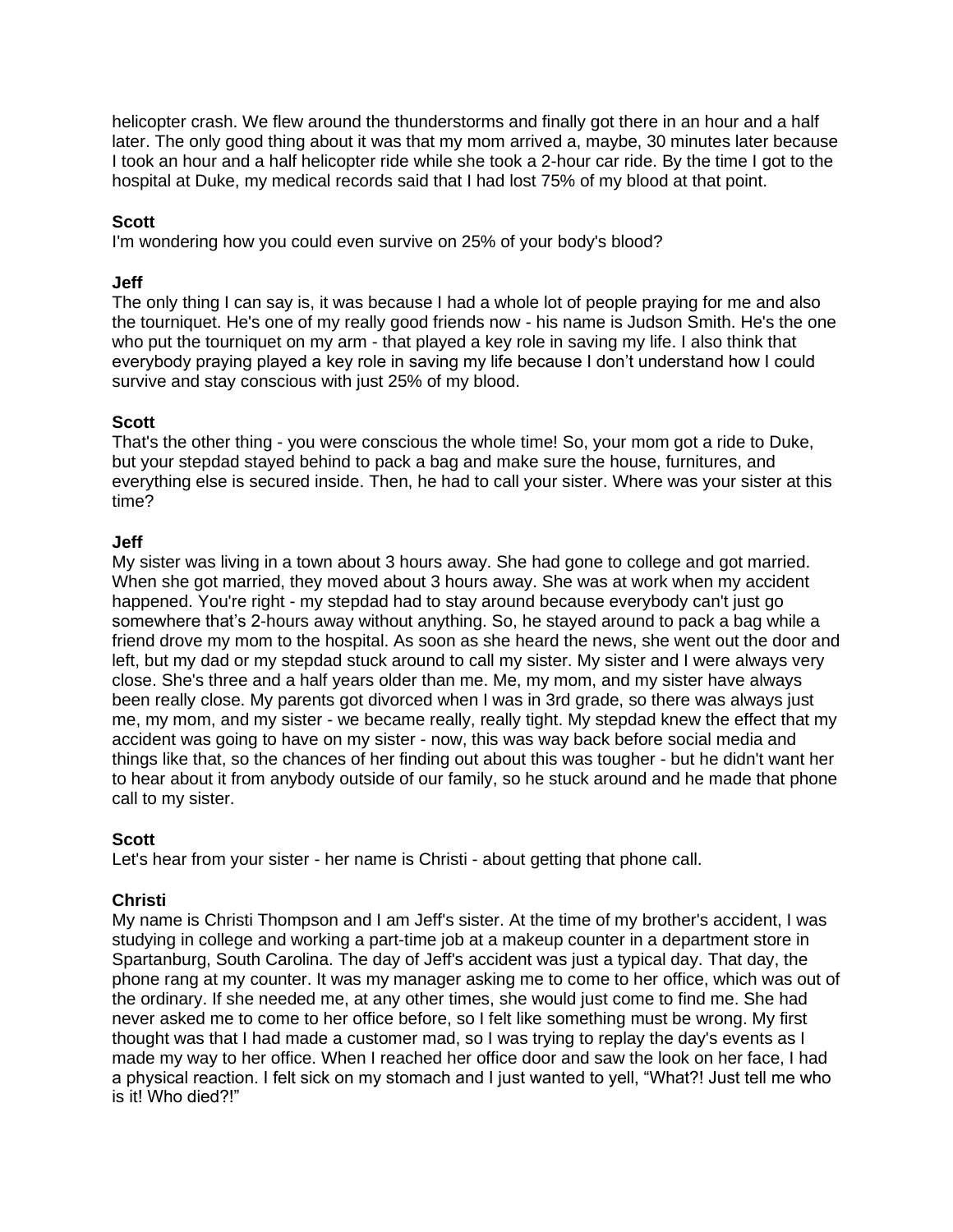helicopter crash. We flew around the thunderstorms and finally got there in an hour and a half later. The only good thing about it was that my mom arrived a, maybe, 30 minutes later because I took an hour and a half helicopter ride while she took a 2-hour car ride. By the time I got to the hospital at Duke, my medical records said that I had lost 75% of my blood at that point.

### **Scott**

I'm wondering how you could even survive on 25% of your body's blood?

### **Jeff**

The only thing I can say is, it was because I had a whole lot of people praying for me and also the tourniquet. He's one of my really good friends now - his name is Judson Smith. He's the one who put the tourniquet on my arm - that played a key role in saving my life. I also think that everybody praying played a key role in saving my life because I don't understand how I could survive and stay conscious with just 25% of my blood.

### **Scott**

That's the other thing - you were conscious the whole time! So, your mom got a ride to Duke, but your stepdad stayed behind to pack a bag and make sure the house, furnitures, and everything else is secured inside. Then, he had to call your sister. Where was your sister at this time?

### **Jeff**

My sister was living in a town about 3 hours away. She had gone to college and got married. When she got married, they moved about 3 hours away. She was at work when my accident happened. You're right - my stepdad had to stay around because everybody can't just go somewhere that's 2-hours away without anything. So, he stayed around to pack a bag while a friend drove my mom to the hospital. As soon as she heard the news, she went out the door and left, but my dad or my stepdad stuck around to call my sister. My sister and I were always very close. She's three and a half years older than me. Me, my mom, and my sister have always been really close. My parents got divorced when I was in 3rd grade, so there was always just me, my mom, and my sister - we became really, really tight. My stepdad knew the effect that my accident was going to have on my sister - now, this was way back before social media and things like that, so the chances of her finding out about this was tougher - but he didn't want her to hear about it from anybody outside of our family, so he stuck around and he made that phone call to my sister.

#### **Scott**

Let's hear from your sister - her name is Christi - about getting that phone call.

# **Christi**

My name is Christi Thompson and I am Jeff's sister. At the time of my brother's accident, I was studying in college and working a part-time job at a makeup counter in a department store in Spartanburg, South Carolina. The day of Jeff's accident was just a typical day. That day, the phone rang at my counter. It was my manager asking me to come to her office, which was out of the ordinary. If she needed me, at any other times, she would just come to find me. She had never asked me to come to her office before, so I felt like something must be wrong. My first thought was that I had made a customer mad, so I was trying to replay the day's events as I made my way to her office. When I reached her office door and saw the look on her face, I had a physical reaction. I felt sick on my stomach and I just wanted to yell, "What?! Just tell me who is it! Who died?!"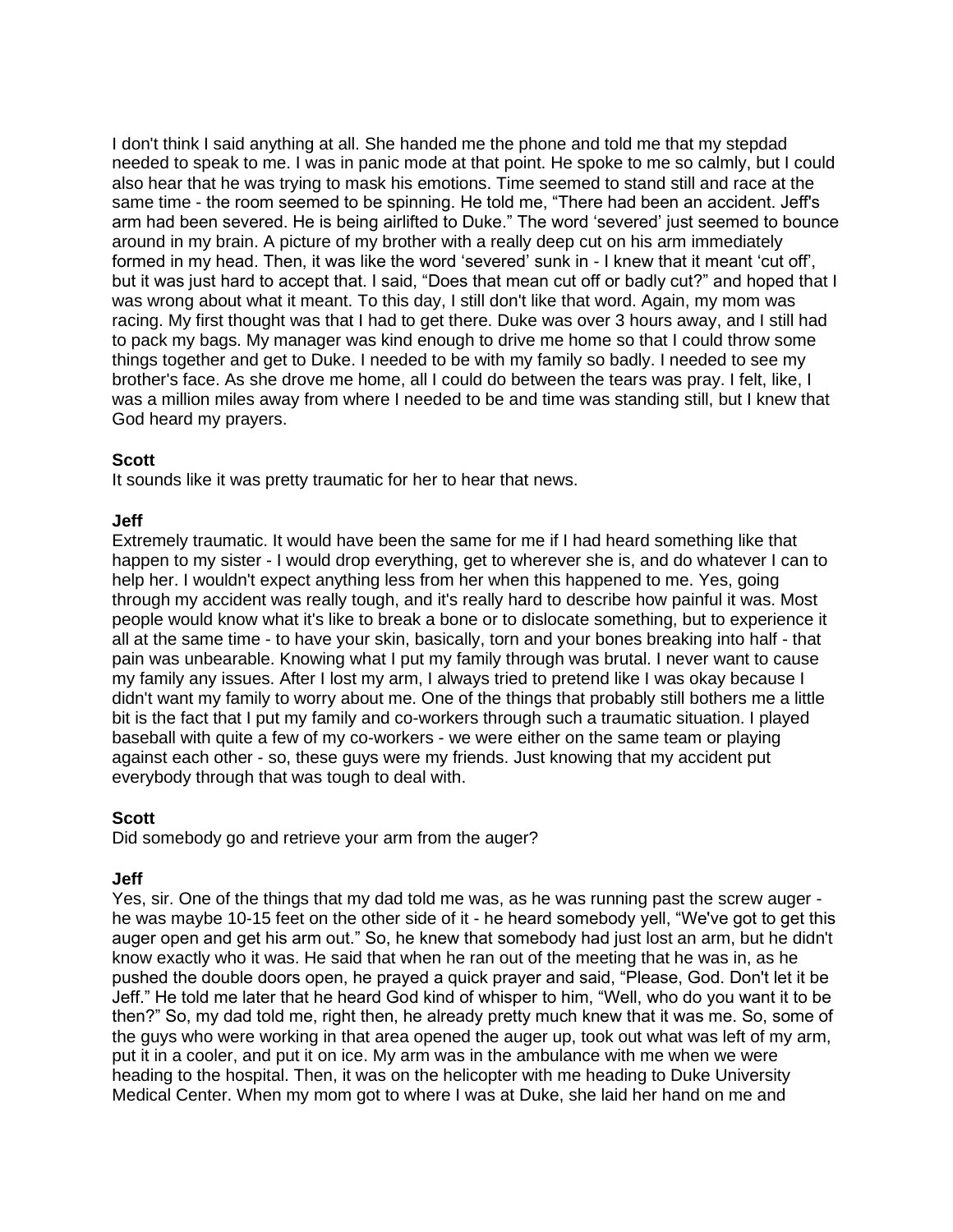I don't think I said anything at all. She handed me the phone and told me that my stepdad needed to speak to me. I was in panic mode at that point. He spoke to me so calmly, but I could also hear that he was trying to mask his emotions. Time seemed to stand still and race at the same time - the room seemed to be spinning. He told me, "There had been an accident. Jeff's arm had been severed. He is being airlifted to Duke." The word 'severed' just seemed to bounce around in my brain. A picture of my brother with a really deep cut on his arm immediately formed in my head. Then, it was like the word 'severed' sunk in - I knew that it meant 'cut off', but it was just hard to accept that. I said, "Does that mean cut off or badly cut?" and hoped that I was wrong about what it meant. To this day, I still don't like that word. Again, my mom was racing. My first thought was that I had to get there. Duke was over 3 hours away, and I still had to pack my bags. My manager was kind enough to drive me home so that I could throw some things together and get to Duke. I needed to be with my family so badly. I needed to see my brother's face. As she drove me home, all I could do between the tears was pray. I felt, like, I was a million miles away from where I needed to be and time was standing still, but I knew that God heard my prayers.

### **Scott**

It sounds like it was pretty traumatic for her to hear that news.

### **Jeff**

Extremely traumatic. It would have been the same for me if I had heard something like that happen to my sister - I would drop everything, get to wherever she is, and do whatever I can to help her. I wouldn't expect anything less from her when this happened to me. Yes, going through my accident was really tough, and it's really hard to describe how painful it was. Most people would know what it's like to break a bone or to dislocate something, but to experience it all at the same time - to have your skin, basically, torn and your bones breaking into half - that pain was unbearable. Knowing what I put my family through was brutal. I never want to cause my family any issues. After I lost my arm, I always tried to pretend like I was okay because I didn't want my family to worry about me. One of the things that probably still bothers me a little bit is the fact that I put my family and co-workers through such a traumatic situation. I played baseball with quite a few of my co-workers - we were either on the same team or playing against each other - so, these guys were my friends. Just knowing that my accident put everybody through that was tough to deal with.

# **Scott**

Did somebody go and retrieve your arm from the auger?

# **Jeff**

Yes, sir. One of the things that my dad told me was, as he was running past the screw auger he was maybe 10-15 feet on the other side of it - he heard somebody yell, "We've got to get this auger open and get his arm out." So, he knew that somebody had just lost an arm, but he didn't know exactly who it was. He said that when he ran out of the meeting that he was in, as he pushed the double doors open, he prayed a quick prayer and said, "Please, God. Don't let it be Jeff." He told me later that he heard God kind of whisper to him, "Well, who do you want it to be then?" So, my dad told me, right then, he already pretty much knew that it was me. So, some of the guys who were working in that area opened the auger up, took out what was left of my arm, put it in a cooler, and put it on ice. My arm was in the ambulance with me when we were heading to the hospital. Then, it was on the helicopter with me heading to Duke University Medical Center. When my mom got to where I was at Duke, she laid her hand on me and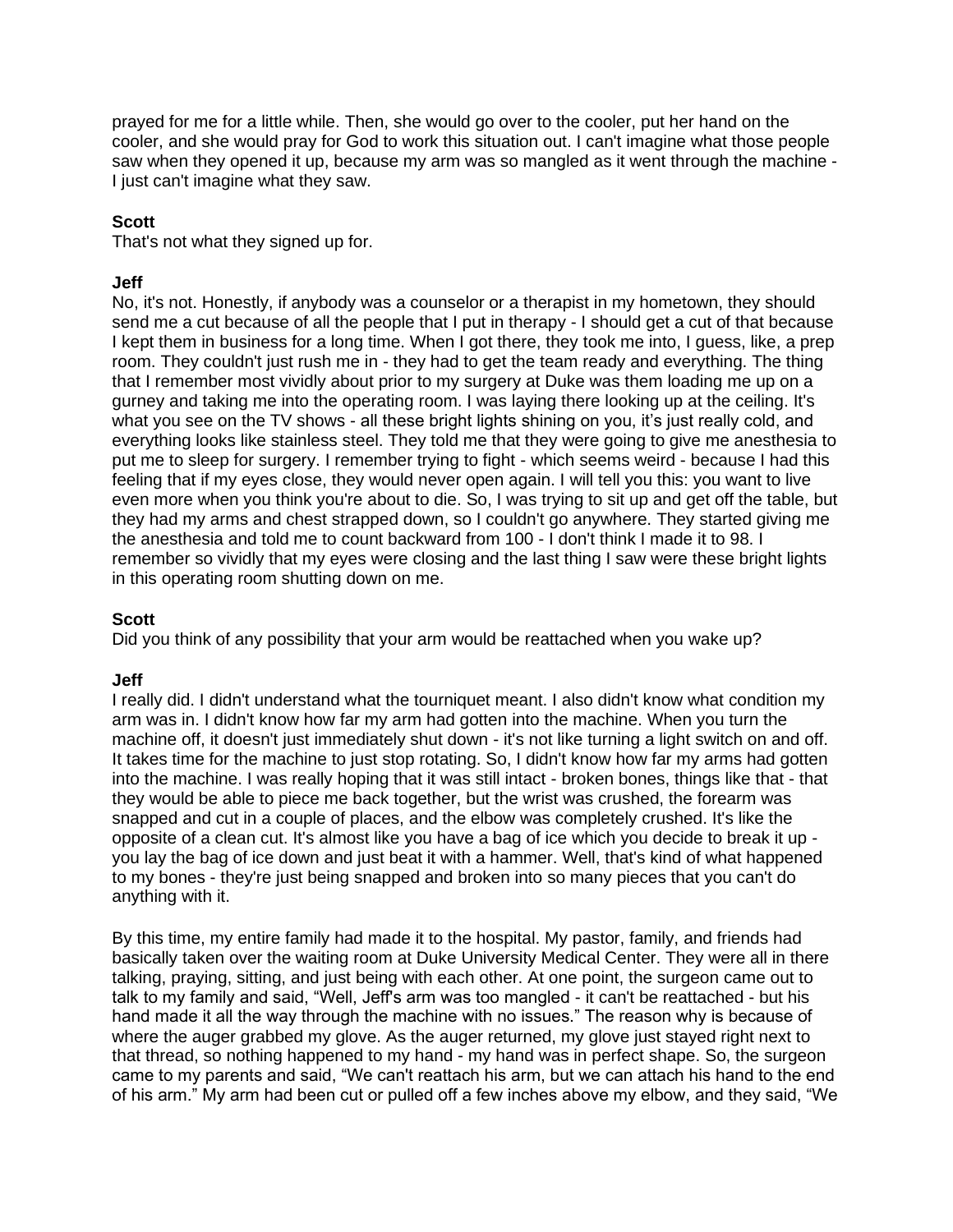prayed for me for a little while. Then, she would go over to the cooler, put her hand on the cooler, and she would pray for God to work this situation out. I can't imagine what those people saw when they opened it up, because my arm was so mangled as it went through the machine - I just can't imagine what they saw.

### **Scott**

That's not what they signed up for.

### **Jeff**

No, it's not. Honestly, if anybody was a counselor or a therapist in my hometown, they should send me a cut because of all the people that I put in therapy - I should get a cut of that because I kept them in business for a long time. When I got there, they took me into, I guess, like, a prep room. They couldn't just rush me in - they had to get the team ready and everything. The thing that I remember most vividly about prior to my surgery at Duke was them loading me up on a gurney and taking me into the operating room. I was laying there looking up at the ceiling. It's what you see on the TV shows - all these bright lights shining on you, it's just really cold, and everything looks like stainless steel. They told me that they were going to give me anesthesia to put me to sleep for surgery. I remember trying to fight - which seems weird - because I had this feeling that if my eyes close, they would never open again. I will tell you this: you want to live even more when you think you're about to die. So, I was trying to sit up and get off the table, but they had my arms and chest strapped down, so I couldn't go anywhere. They started giving me the anesthesia and told me to count backward from 100 - I don't think I made it to 98. I remember so vividly that my eyes were closing and the last thing I saw were these bright lights in this operating room shutting down on me.

#### **Scott**

Did you think of any possibility that your arm would be reattached when you wake up?

#### **Jeff**

I really did. I didn't understand what the tourniquet meant. I also didn't know what condition my arm was in. I didn't know how far my arm had gotten into the machine. When you turn the machine off, it doesn't just immediately shut down - it's not like turning a light switch on and off. It takes time for the machine to just stop rotating. So, I didn't know how far my arms had gotten into the machine. I was really hoping that it was still intact - broken bones, things like that - that they would be able to piece me back together, but the wrist was crushed, the forearm was snapped and cut in a couple of places, and the elbow was completely crushed. It's like the opposite of a clean cut. It's almost like you have a bag of ice which you decide to break it up you lay the bag of ice down and just beat it with a hammer. Well, that's kind of what happened to my bones - they're just being snapped and broken into so many pieces that you can't do anything with it.

By this time, my entire family had made it to the hospital. My pastor, family, and friends had basically taken over the waiting room at Duke University Medical Center. They were all in there talking, praying, sitting, and just being with each other. At one point, the surgeon came out to talk to my family and said, "Well, Jeff's arm was too mangled - it can't be reattached - but his hand made it all the way through the machine with no issues." The reason why is because of where the auger grabbed my glove. As the auger returned, my glove just stayed right next to that thread, so nothing happened to my hand - my hand was in perfect shape. So, the surgeon came to my parents and said, "We can't reattach his arm, but we can attach his hand to the end of his arm." My arm had been cut or pulled off a few inches above my elbow, and they said, "We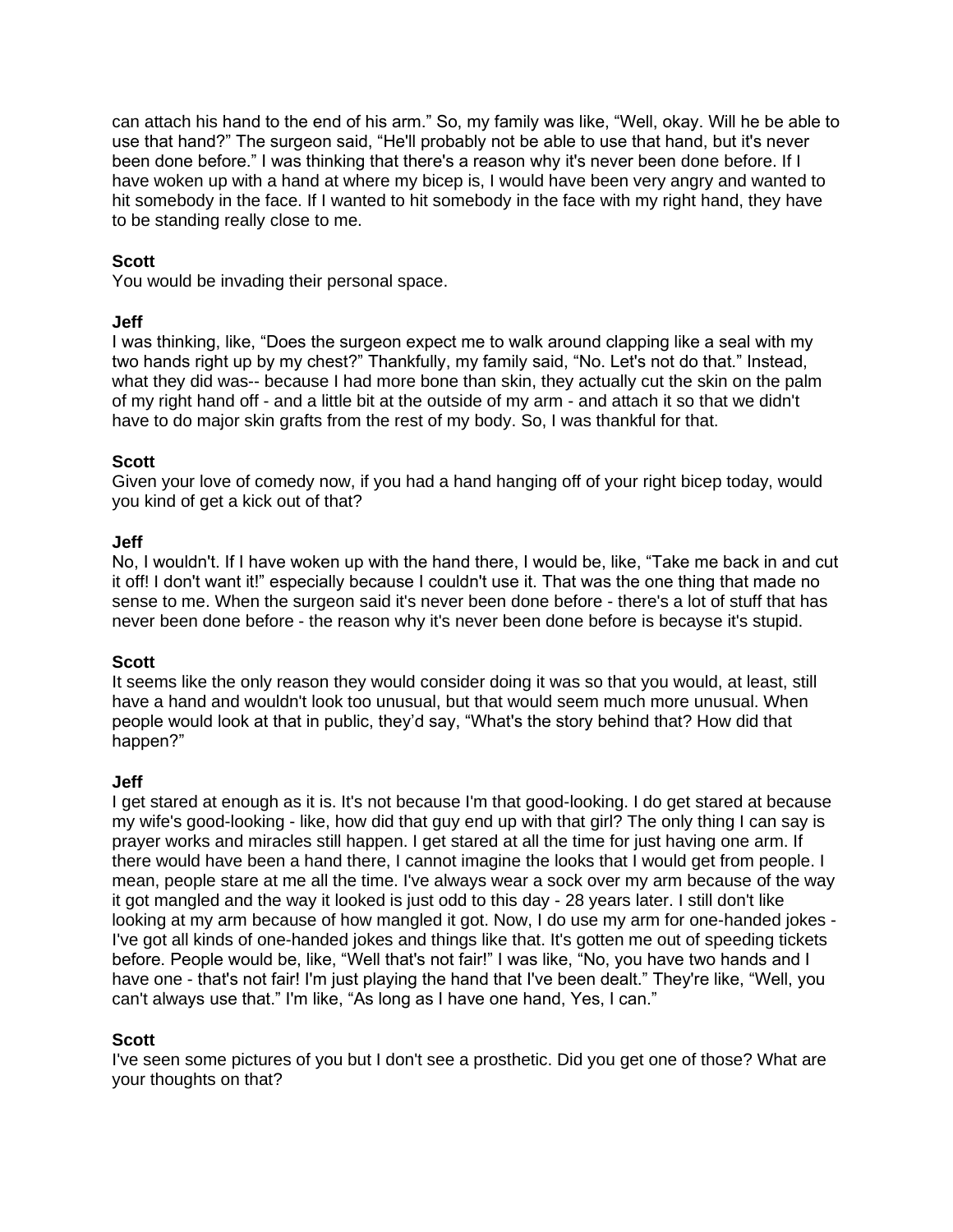can attach his hand to the end of his arm." So, my family was like, "Well, okay. Will he be able to use that hand?" The surgeon said, "He'll probably not be able to use that hand, but it's never been done before." I was thinking that there's a reason why it's never been done before. If I have woken up with a hand at where my bicep is, I would have been very angry and wanted to hit somebody in the face. If I wanted to hit somebody in the face with my right hand, they have to be standing really close to me.

### **Scott**

You would be invading their personal space.

### **Jeff**

I was thinking, like, "Does the surgeon expect me to walk around clapping like a seal with my two hands right up by my chest?" Thankfully, my family said, "No. Let's not do that." Instead, what they did was-- because I had more bone than skin, they actually cut the skin on the palm of my right hand off - and a little bit at the outside of my arm - and attach it so that we didn't have to do major skin grafts from the rest of my body. So, I was thankful for that.

# **Scott**

Given your love of comedy now, if you had a hand hanging off of your right bicep today, would you kind of get a kick out of that?

#### **Jeff**

No, I wouldn't. If I have woken up with the hand there, I would be, like, "Take me back in and cut it off! I don't want it!" especially because I couldn't use it. That was the one thing that made no sense to me. When the surgeon said it's never been done before - there's a lot of stuff that has never been done before - the reason why it's never been done before is becayse it's stupid.

#### **Scott**

It seems like the only reason they would consider doing it was so that you would, at least, still have a hand and wouldn't look too unusual, but that would seem much more unusual. When people would look at that in public, they'd say, "What's the story behind that? How did that happen?"

# **Jeff**

I get stared at enough as it is. It's not because I'm that good-looking. I do get stared at because my wife's good-looking - like, how did that guy end up with that girl? The only thing I can say is prayer works and miracles still happen. I get stared at all the time for just having one arm. If there would have been a hand there, I cannot imagine the looks that I would get from people. I mean, people stare at me all the time. I've always wear a sock over my arm because of the way it got mangled and the way it looked is just odd to this day - 28 years later. I still don't like looking at my arm because of how mangled it got. Now, I do use my arm for one-handed jokes - I've got all kinds of one-handed jokes and things like that. It's gotten me out of speeding tickets before. People would be, like, "Well that's not fair!" I was like, "No, you have two hands and I have one - that's not fair! I'm just playing the hand that I've been dealt." They're like, "Well, you can't always use that." I'm like, "As long as I have one hand, Yes, I can."

# **Scott**

I've seen some pictures of you but I don't see a prosthetic. Did you get one of those? What are your thoughts on that?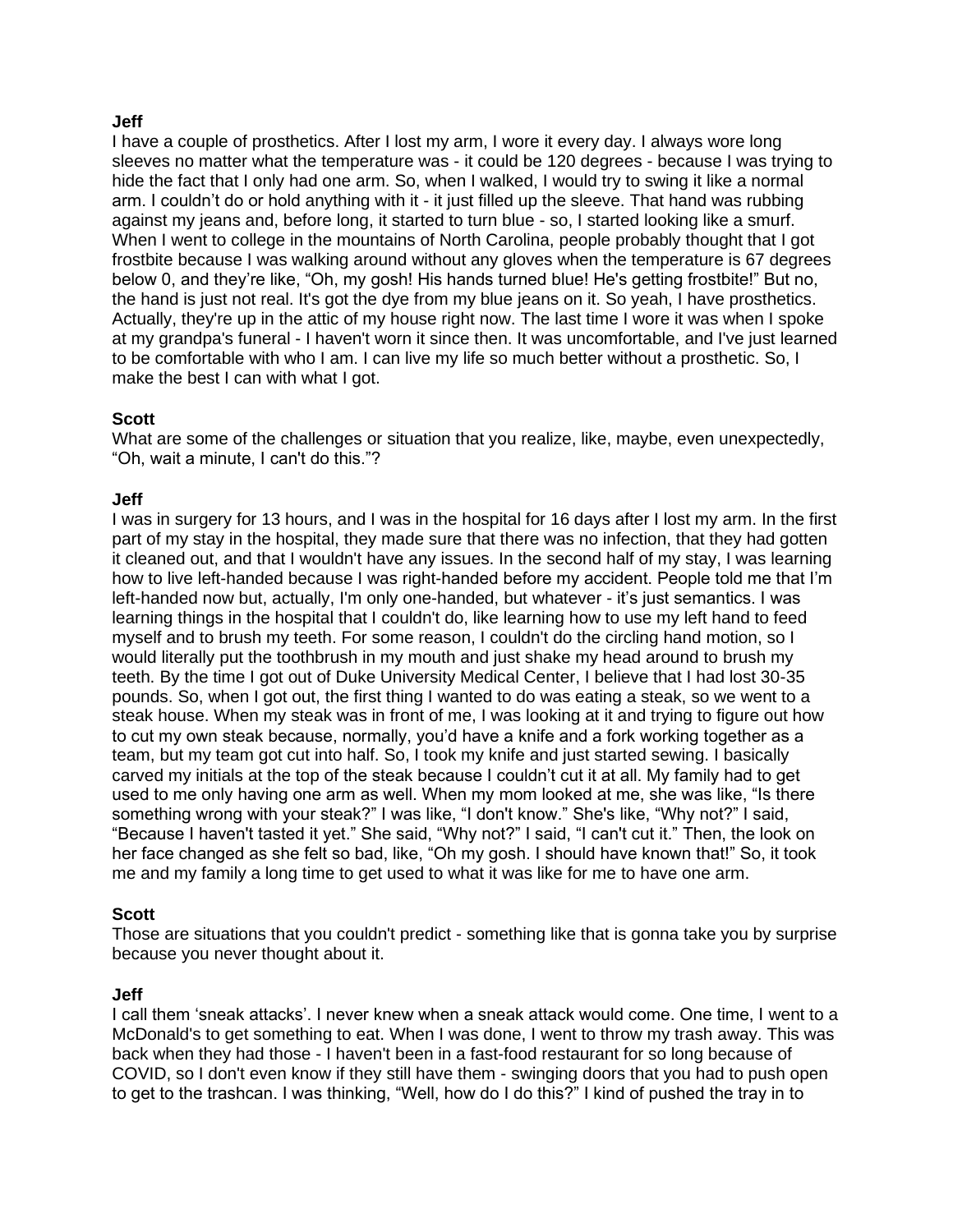### **Jeff**

I have a couple of prosthetics. After I lost my arm, I wore it every day. I always wore long sleeves no matter what the temperature was - it could be 120 degrees - because I was trying to hide the fact that I only had one arm. So, when I walked, I would try to swing it like a normal arm. I couldn't do or hold anything with it - it just filled up the sleeve. That hand was rubbing against my jeans and, before long, it started to turn blue - so, I started looking like a smurf. When I went to college in the mountains of North Carolina, people probably thought that I got frostbite because I was walking around without any gloves when the temperature is 67 degrees below 0, and they're like, "Oh, my gosh! His hands turned blue! He's getting frostbite!" But no, the hand is just not real. It's got the dye from my blue jeans on it. So yeah, I have prosthetics. Actually, they're up in the attic of my house right now. The last time I wore it was when I spoke at my grandpa's funeral - I haven't worn it since then. It was uncomfortable, and I've just learned to be comfortable with who I am. I can live my life so much better without a prosthetic. So, I make the best I can with what I got.

# **Scott**

What are some of the challenges or situation that you realize, like, maybe, even unexpectedly, "Oh, wait a minute, I can't do this."?

### **Jeff**

I was in surgery for 13 hours, and I was in the hospital for 16 days after I lost my arm. In the first part of my stay in the hospital, they made sure that there was no infection, that they had gotten it cleaned out, and that I wouldn't have any issues. In the second half of my stay, I was learning how to live left-handed because I was right-handed before my accident. People told me that I'm left-handed now but, actually, I'm only one-handed, but whatever - it's just semantics. I was learning things in the hospital that I couldn't do, like learning how to use my left hand to feed myself and to brush my teeth. For some reason, I couldn't do the circling hand motion, so I would literally put the toothbrush in my mouth and just shake my head around to brush my teeth. By the time I got out of Duke University Medical Center, I believe that I had lost 30-35 pounds. So, when I got out, the first thing I wanted to do was eating a steak, so we went to a steak house. When my steak was in front of me, I was looking at it and trying to figure out how to cut my own steak because, normally, you'd have a knife and a fork working together as a team, but my team got cut into half. So, I took my knife and just started sewing. I basically carved my initials at the top of the steak because I couldn't cut it at all. My family had to get used to me only having one arm as well. When my mom looked at me, she was like, "Is there something wrong with your steak?" I was like, "I don't know." She's like, "Why not?" I said, "Because I haven't tasted it yet." She said, "Why not?" I said, "I can't cut it." Then, the look on her face changed as she felt so bad, like, "Oh my gosh. I should have known that!" So, it took me and my family a long time to get used to what it was like for me to have one arm.

#### **Scott**

Those are situations that you couldn't predict - something like that is gonna take you by surprise because you never thought about it.

#### **Jeff**

I call them 'sneak attacks'. I never knew when a sneak attack would come. One time, I went to a McDonald's to get something to eat. When I was done, I went to throw my trash away. This was back when they had those - I haven't been in a fast-food restaurant for so long because of COVID, so I don't even know if they still have them - swinging doors that you had to push open to get to the trashcan. I was thinking, "Well, how do I do this?" I kind of pushed the tray in to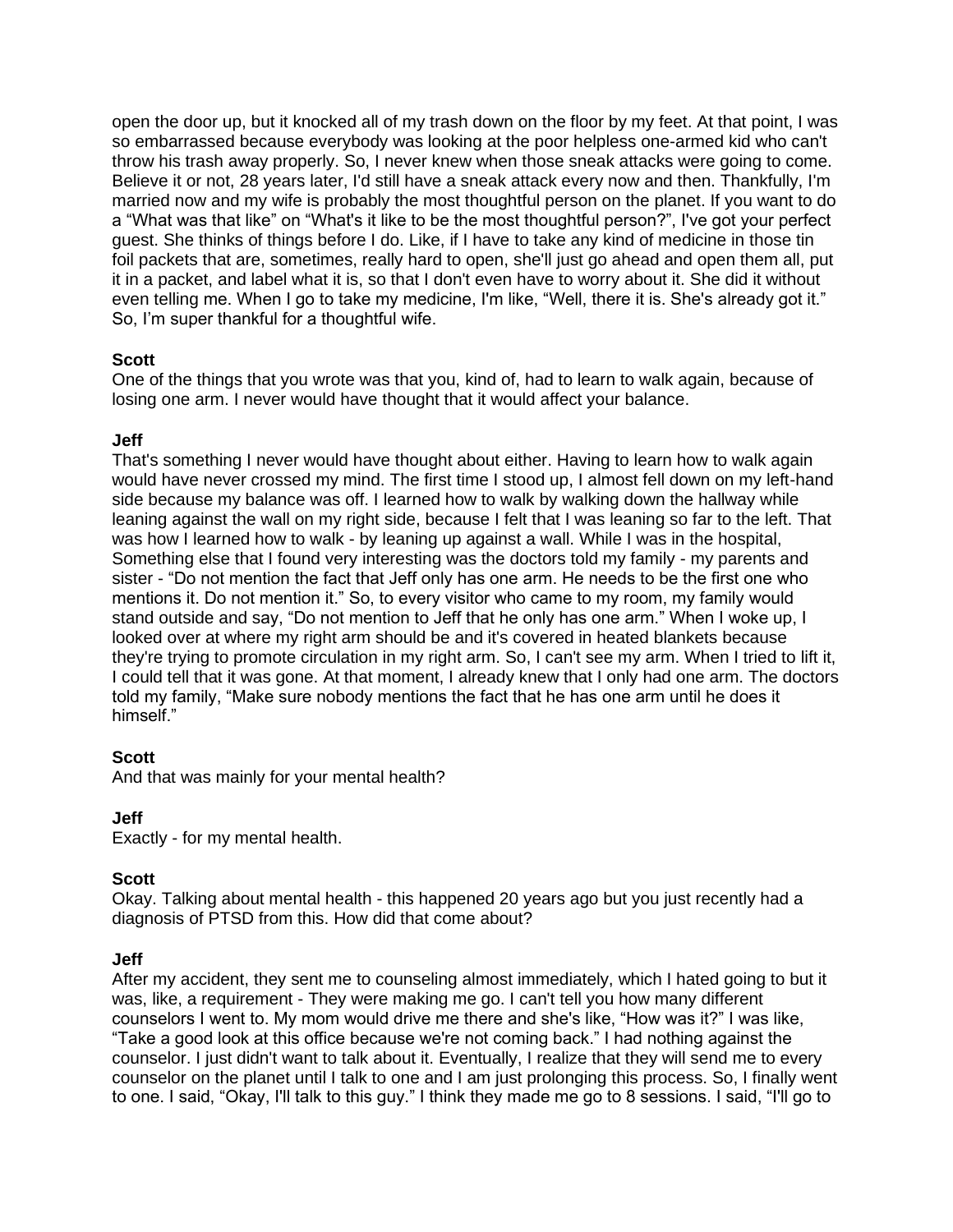open the door up, but it knocked all of my trash down on the floor by my feet. At that point, I was so embarrassed because everybody was looking at the poor helpless one-armed kid who can't throw his trash away properly. So, I never knew when those sneak attacks were going to come. Believe it or not, 28 years later, I'd still have a sneak attack every now and then. Thankfully, I'm married now and my wife is probably the most thoughtful person on the planet. If you want to do a "What was that like" on "What's it like to be the most thoughtful person?", I've got your perfect guest. She thinks of things before I do. Like, if I have to take any kind of medicine in those tin foil packets that are, sometimes, really hard to open, she'll just go ahead and open them all, put it in a packet, and label what it is, so that I don't even have to worry about it. She did it without even telling me. When I go to take my medicine, I'm like, "Well, there it is. She's already got it." So, I'm super thankful for a thoughtful wife.

# **Scott**

One of the things that you wrote was that you, kind of, had to learn to walk again, because of losing one arm. I never would have thought that it would affect your balance.

# **Jeff**

That's something I never would have thought about either. Having to learn how to walk again would have never crossed my mind. The first time I stood up, I almost fell down on my left-hand side because my balance was off. I learned how to walk by walking down the hallway while leaning against the wall on my right side, because I felt that I was leaning so far to the left. That was how I learned how to walk - by leaning up against a wall. While I was in the hospital, Something else that I found very interesting was the doctors told my family - my parents and sister - "Do not mention the fact that Jeff only has one arm. He needs to be the first one who mentions it. Do not mention it." So, to every visitor who came to my room, my family would stand outside and say, "Do not mention to Jeff that he only has one arm." When I woke up, I looked over at where my right arm should be and it's covered in heated blankets because they're trying to promote circulation in my right arm. So, I can't see my arm. When I tried to lift it, I could tell that it was gone. At that moment, I already knew that I only had one arm. The doctors told my family, "Make sure nobody mentions the fact that he has one arm until he does it himself."

# **Scott**

And that was mainly for your mental health?

# **Jeff**

Exactly - for my mental health.

# **Scott**

Okay. Talking about mental health - this happened 20 years ago but you just recently had a diagnosis of PTSD from this. How did that come about?

# **Jeff**

After my accident, they sent me to counseling almost immediately, which I hated going to but it was, like, a requirement - They were making me go. I can't tell you how many different counselors I went to. My mom would drive me there and she's like, "How was it?" I was like, "Take a good look at this office because we're not coming back." I had nothing against the counselor. I just didn't want to talk about it. Eventually, I realize that they will send me to every counselor on the planet until I talk to one and I am just prolonging this process. So, I finally went to one. I said, "Okay, I'll talk to this guy." I think they made me go to 8 sessions. I said, "I'll go to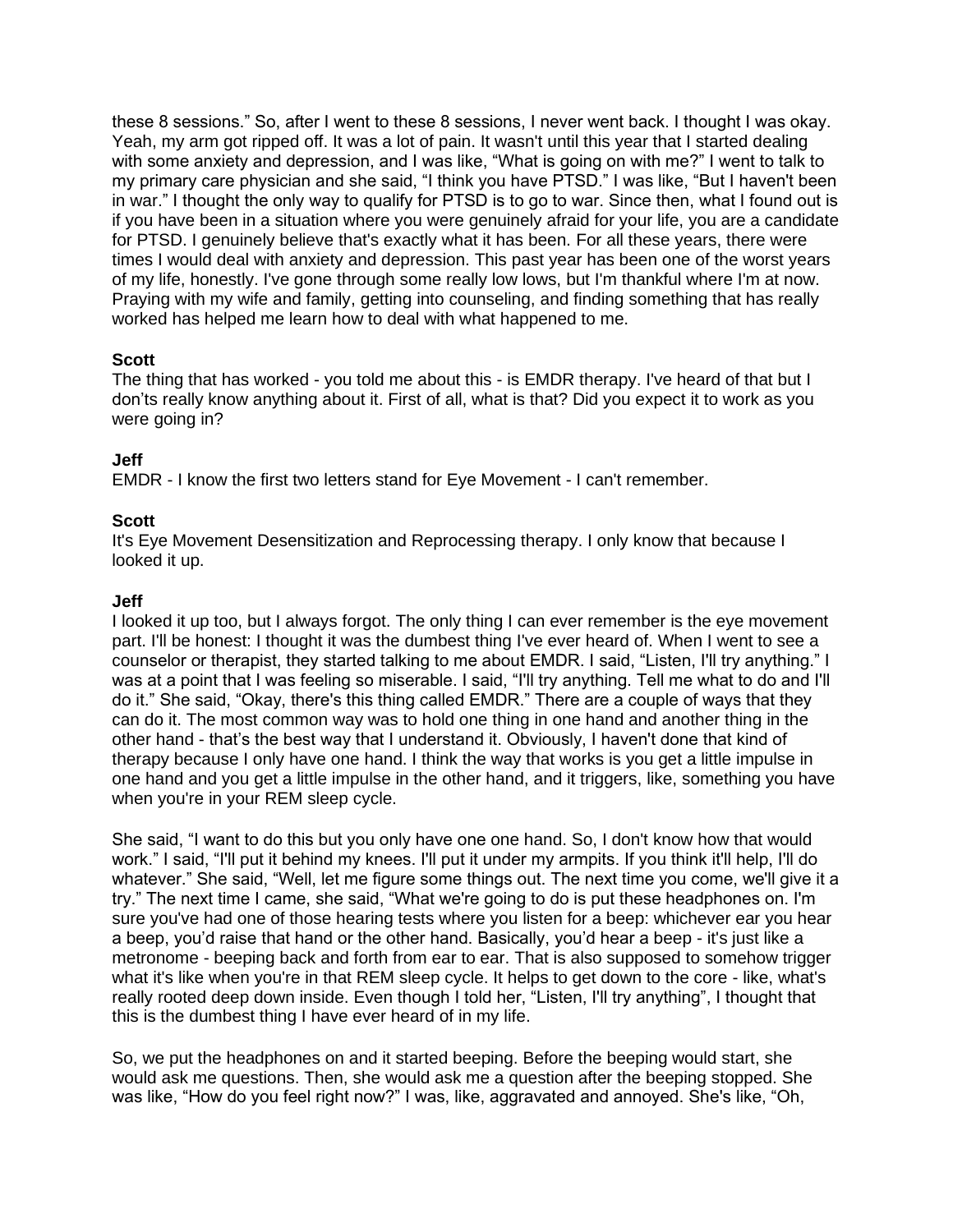these 8 sessions." So, after I went to these 8 sessions, I never went back. I thought I was okay. Yeah, my arm got ripped off. It was a lot of pain. It wasn't until this year that I started dealing with some anxiety and depression, and I was like, "What is going on with me?" I went to talk to my primary care physician and she said, "I think you have PTSD." I was like, "But I haven't been in war." I thought the only way to qualify for PTSD is to go to war. Since then, what I found out is if you have been in a situation where you were genuinely afraid for your life, you are a candidate for PTSD. I genuinely believe that's exactly what it has been. For all these years, there were times I would deal with anxiety and depression. This past year has been one of the worst years of my life, honestly. I've gone through some really low lows, but I'm thankful where I'm at now. Praying with my wife and family, getting into counseling, and finding something that has really worked has helped me learn how to deal with what happened to me.

# **Scott**

The thing that has worked - you told me about this - is EMDR therapy. I've heard of that but I don'ts really know anything about it. First of all, what is that? Did you expect it to work as you were going in?

# **Jeff**

EMDR - I know the first two letters stand for Eye Movement - I can't remember.

# **Scott**

It's Eye Movement Desensitization and Reprocessing therapy. I only know that because I looked it up.

# **Jeff**

I looked it up too, but I always forgot. The only thing I can ever remember is the eye movement part. I'll be honest: I thought it was the dumbest thing I've ever heard of. When I went to see a counselor or therapist, they started talking to me about EMDR. I said, "Listen, I'll try anything." I was at a point that I was feeling so miserable. I said, "I'll try anything. Tell me what to do and I'll do it." She said, "Okay, there's this thing called EMDR." There are a couple of ways that they can do it. The most common way was to hold one thing in one hand and another thing in the other hand - that's the best way that I understand it. Obviously, I haven't done that kind of therapy because I only have one hand. I think the way that works is you get a little impulse in one hand and you get a little impulse in the other hand, and it triggers, like, something you have when you're in your REM sleep cycle.

She said, "I want to do this but you only have one one hand. So, I don't know how that would work." I said, "I'll put it behind my knees. I'll put it under my armpits. If you think it'll help, I'll do whatever." She said, "Well, let me figure some things out. The next time you come, we'll give it a try." The next time I came, she said, "What we're going to do is put these headphones on. I'm sure you've had one of those hearing tests where you listen for a beep: whichever ear you hear a beep, you'd raise that hand or the other hand. Basically, you'd hear a beep - it's just like a metronome - beeping back and forth from ear to ear. That is also supposed to somehow trigger what it's like when you're in that REM sleep cycle. It helps to get down to the core - like, what's really rooted deep down inside. Even though I told her, "Listen, I'll try anything", I thought that this is the dumbest thing I have ever heard of in my life.

So, we put the headphones on and it started beeping. Before the beeping would start, she would ask me questions. Then, she would ask me a question after the beeping stopped. She was like, "How do you feel right now?" I was, like, aggravated and annoyed. She's like, "Oh,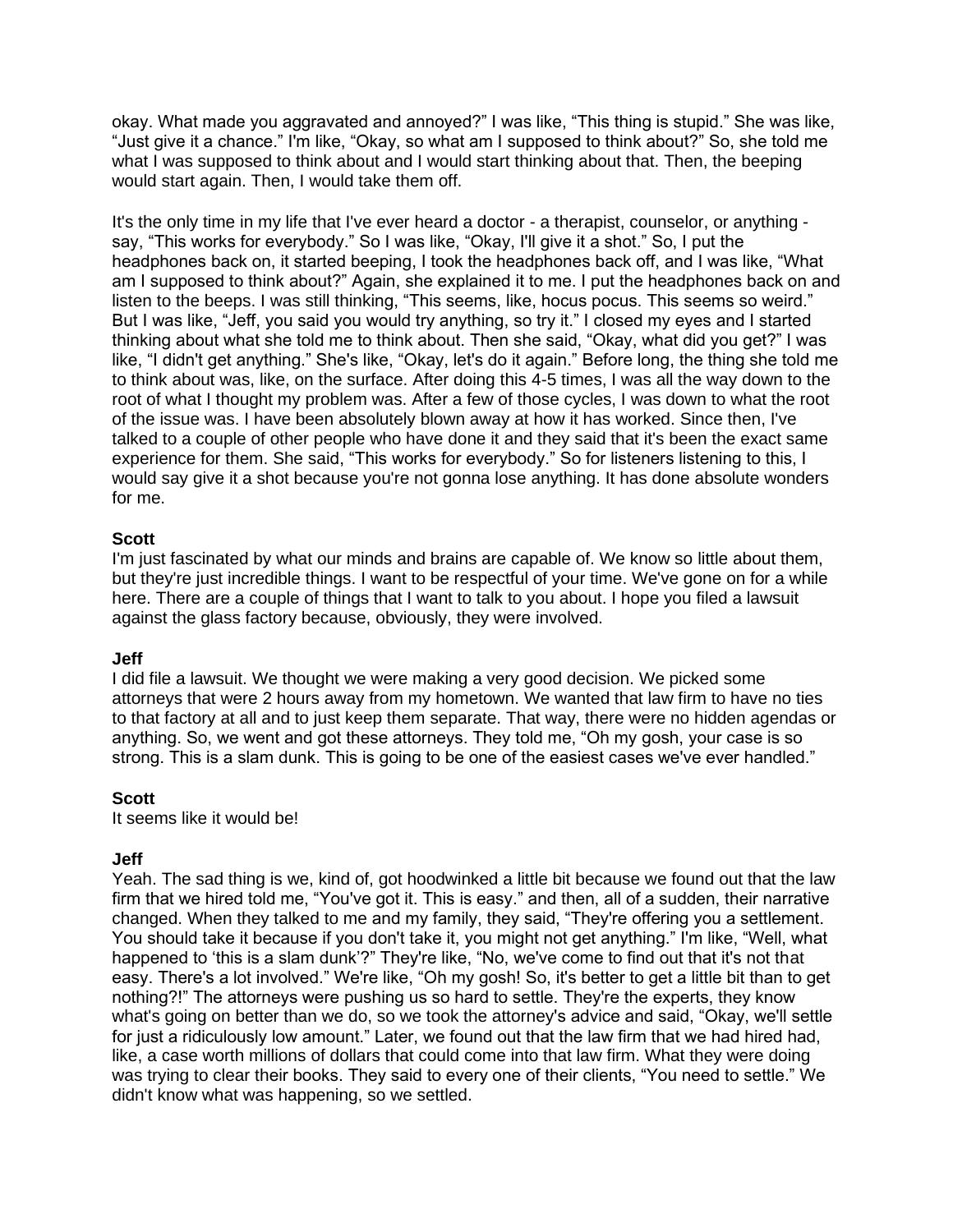okay. What made you aggravated and annoyed?" I was like, "This thing is stupid." She was like, "Just give it a chance." I'm like, "Okay, so what am I supposed to think about?" So, she told me what I was supposed to think about and I would start thinking about that. Then, the beeping would start again. Then, I would take them off.

It's the only time in my life that I've ever heard a doctor - a therapist, counselor, or anything say, "This works for everybody." So I was like, "Okay, I'll give it a shot." So, I put the headphones back on, it started beeping, I took the headphones back off, and I was like, "What am I supposed to think about?" Again, she explained it to me. I put the headphones back on and listen to the beeps. I was still thinking, "This seems, like, hocus pocus. This seems so weird." But I was like, "Jeff, you said you would try anything, so try it." I closed my eyes and I started thinking about what she told me to think about. Then she said, "Okay, what did you get?" I was like, "I didn't get anything." She's like, "Okay, let's do it again." Before long, the thing she told me to think about was, like, on the surface. After doing this 4-5 times, I was all the way down to the root of what I thought my problem was. After a few of those cycles, I was down to what the root of the issue was. I have been absolutely blown away at how it has worked. Since then, I've talked to a couple of other people who have done it and they said that it's been the exact same experience for them. She said, "This works for everybody." So for listeners listening to this, I would say give it a shot because you're not gonna lose anything. It has done absolute wonders for me.

### **Scott**

I'm just fascinated by what our minds and brains are capable of. We know so little about them, but they're just incredible things. I want to be respectful of your time. We've gone on for a while here. There are a couple of things that I want to talk to you about. I hope you filed a lawsuit against the glass factory because, obviously, they were involved.

#### **Jeff**

I did file a lawsuit. We thought we were making a very good decision. We picked some attorneys that were 2 hours away from my hometown. We wanted that law firm to have no ties to that factory at all and to just keep them separate. That way, there were no hidden agendas or anything. So, we went and got these attorneys. They told me, "Oh my gosh, your case is so strong. This is a slam dunk. This is going to be one of the easiest cases we've ever handled."

#### **Scott**

It seems like it would be!

# **Jeff**

Yeah. The sad thing is we, kind of, got hoodwinked a little bit because we found out that the law firm that we hired told me, "You've got it. This is easy." and then, all of a sudden, their narrative changed. When they talked to me and my family, they said, "They're offering you a settlement. You should take it because if you don't take it, you might not get anything." I'm like, "Well, what happened to 'this is a slam dunk'?" They're like, "No, we've come to find out that it's not that easy. There's a lot involved." We're like, "Oh my gosh! So, it's better to get a little bit than to get nothing?!" The attorneys were pushing us so hard to settle. They're the experts, they know what's going on better than we do, so we took the attorney's advice and said, "Okay, we'll settle for just a ridiculously low amount." Later, we found out that the law firm that we had hired had, like, a case worth millions of dollars that could come into that law firm. What they were doing was trying to clear their books. They said to every one of their clients, "You need to settle." We didn't know what was happening, so we settled.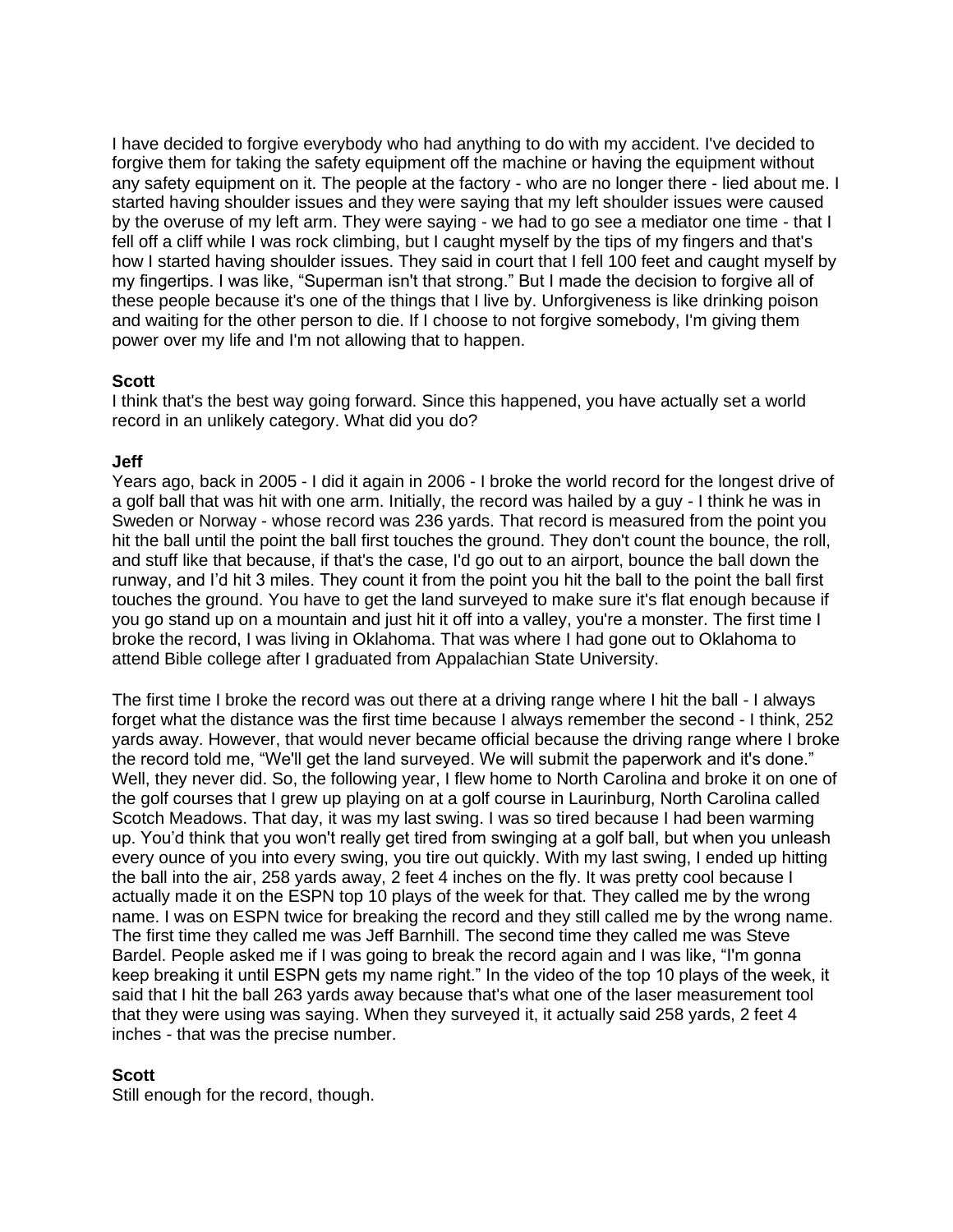I have decided to forgive everybody who had anything to do with my accident. I've decided to forgive them for taking the safety equipment off the machine or having the equipment without any safety equipment on it. The people at the factory - who are no longer there - lied about me. I started having shoulder issues and they were saying that my left shoulder issues were caused by the overuse of my left arm. They were saying - we had to go see a mediator one time - that I fell off a cliff while I was rock climbing, but I caught myself by the tips of my fingers and that's how I started having shoulder issues. They said in court that I fell 100 feet and caught myself by my fingertips. I was like, "Superman isn't that strong." But I made the decision to forgive all of these people because it's one of the things that I live by. Unforgiveness is like drinking poison and waiting for the other person to die. If I choose to not forgive somebody, I'm giving them power over my life and I'm not allowing that to happen.

# **Scott**

I think that's the best way going forward. Since this happened, you have actually set a world record in an unlikely category. What did you do?

# **Jeff**

Years ago, back in 2005 - I did it again in 2006 - I broke the world record for the longest drive of a golf ball that was hit with one arm. Initially, the record was hailed by a guy - I think he was in Sweden or Norway - whose record was 236 yards. That record is measured from the point you hit the ball until the point the ball first touches the ground. They don't count the bounce, the roll, and stuff like that because, if that's the case, I'd go out to an airport, bounce the ball down the runway, and I'd hit 3 miles. They count it from the point you hit the ball to the point the ball first touches the ground. You have to get the land surveyed to make sure it's flat enough because if you go stand up on a mountain and just hit it off into a valley, you're a monster. The first time I broke the record, I was living in Oklahoma. That was where I had gone out to Oklahoma to attend Bible college after I graduated from Appalachian State University.

The first time I broke the record was out there at a driving range where I hit the ball - I always forget what the distance was the first time because I always remember the second - I think, 252 yards away. However, that would never became official because the driving range where I broke the record told me, "We'll get the land surveyed. We will submit the paperwork and it's done." Well, they never did. So, the following year, I flew home to North Carolina and broke it on one of the golf courses that I grew up playing on at a golf course in Laurinburg, North Carolina called Scotch Meadows. That day, it was my last swing. I was so tired because I had been warming up. You'd think that you won't really get tired from swinging at a golf ball, but when you unleash every ounce of you into every swing, you tire out quickly. With my last swing, I ended up hitting the ball into the air, 258 yards away, 2 feet 4 inches on the fly. It was pretty cool because I actually made it on the ESPN top 10 plays of the week for that. They called me by the wrong name. I was on ESPN twice for breaking the record and they still called me by the wrong name. The first time they called me was Jeff Barnhill. The second time they called me was Steve Bardel. People asked me if I was going to break the record again and I was like, "I'm gonna keep breaking it until ESPN gets my name right." In the video of the top 10 plays of the week, it said that I hit the ball 263 yards away because that's what one of the laser measurement tool that they were using was saying. When they surveyed it, it actually said 258 yards, 2 feet 4 inches - that was the precise number.

# **Scott**

Still enough for the record, though.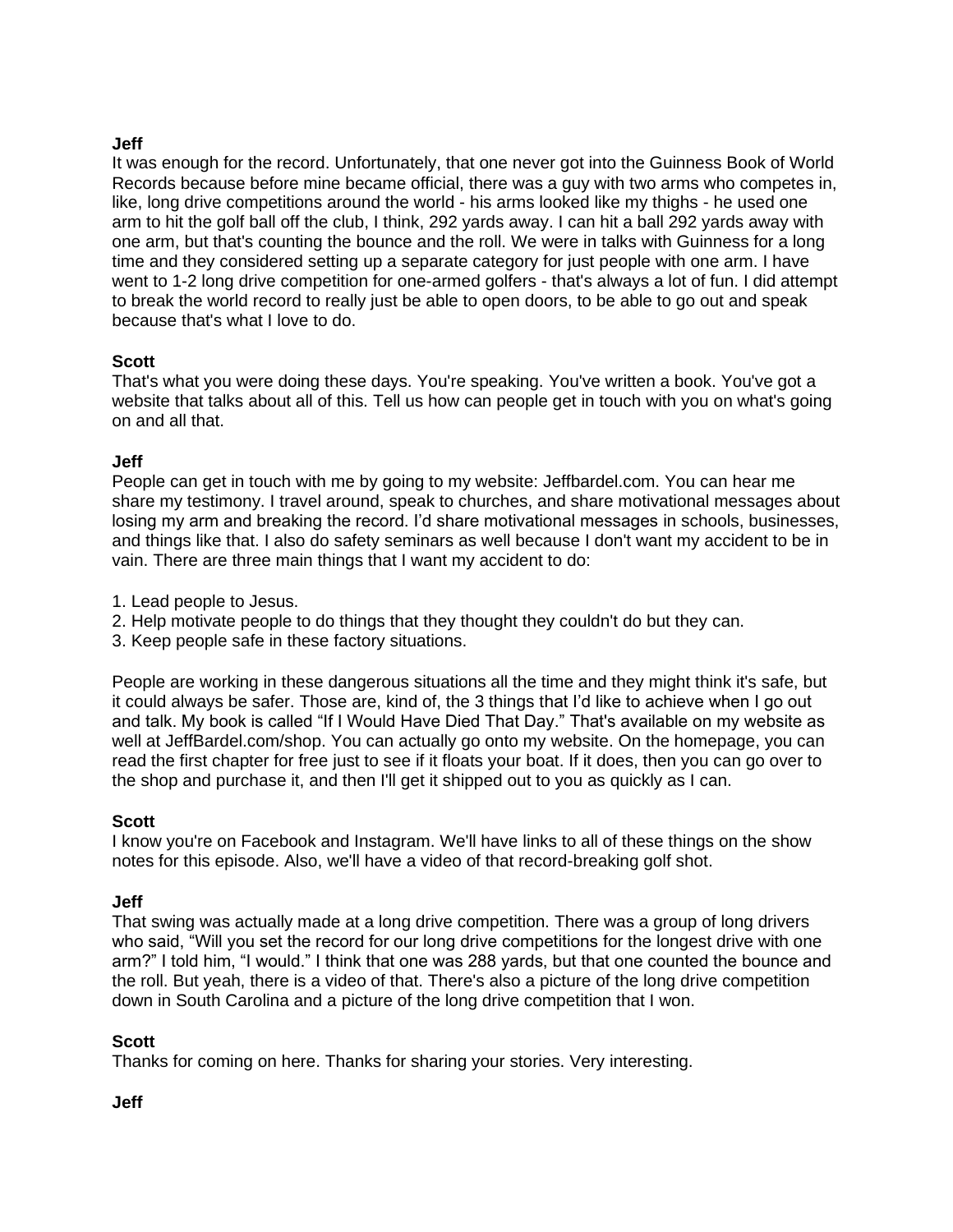# **Jeff**

It was enough for the record. Unfortunately, that one never got into the Guinness Book of World Records because before mine became official, there was a guy with two arms who competes in, like, long drive competitions around the world - his arms looked like my thighs - he used one arm to hit the golf ball off the club, I think, 292 yards away. I can hit a ball 292 yards away with one arm, but that's counting the bounce and the roll. We were in talks with Guinness for a long time and they considered setting up a separate category for just people with one arm. I have went to 1-2 long drive competition for one-armed golfers - that's always a lot of fun. I did attempt to break the world record to really just be able to open doors, to be able to go out and speak because that's what I love to do.

# **Scott**

That's what you were doing these days. You're speaking. You've written a book. You've got a website that talks about all of this. Tell us how can people get in touch with you on what's going on and all that.

# **Jeff**

People can get in touch with me by going to my website: Jeffbardel.com. You can hear me share my testimony. I travel around, speak to churches, and share motivational messages about losing my arm and breaking the record. I'd share motivational messages in schools, businesses, and things like that. I also do safety seminars as well because I don't want my accident to be in vain. There are three main things that I want my accident to do:

- 1. Lead people to Jesus.
- 2. Help motivate people to do things that they thought they couldn't do but they can.
- 3. Keep people safe in these factory situations.

People are working in these dangerous situations all the time and they might think it's safe, but it could always be safer. Those are, kind of, the 3 things that I'd like to achieve when I go out and talk. My book is called "If I Would Have Died That Day." That's available on my website as well at JeffBardel.com/shop. You can actually go onto my website. On the homepage, you can read the first chapter for free just to see if it floats your boat. If it does, then you can go over to the shop and purchase it, and then I'll get it shipped out to you as quickly as I can.

# **Scott**

I know you're on Facebook and Instagram. We'll have links to all of these things on the show notes for this episode. Also, we'll have a video of that record-breaking golf shot.

# **Jeff**

That swing was actually made at a long drive competition. There was a group of long drivers who said, "Will you set the record for our long drive competitions for the longest drive with one arm?" I told him, "I would." I think that one was 288 yards, but that one counted the bounce and the roll. But yeah, there is a video of that. There's also a picture of the long drive competition down in South Carolina and a picture of the long drive competition that I won.

# **Scott**

Thanks for coming on here. Thanks for sharing your stories. Very interesting.

# **Jeff**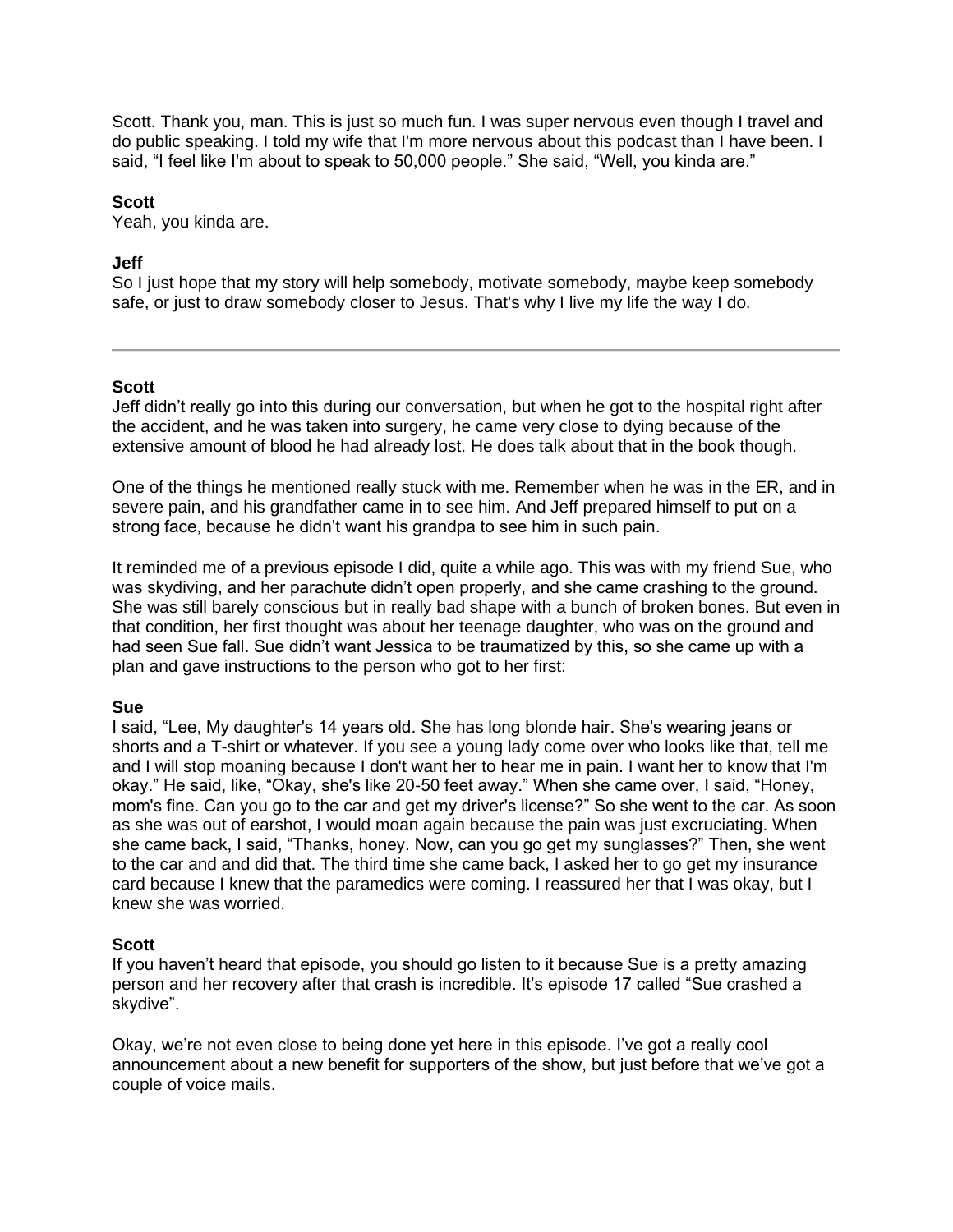Scott. Thank you, man. This is just so much fun. I was super nervous even though I travel and do public speaking. I told my wife that I'm more nervous about this podcast than I have been. I said, "I feel like I'm about to speak to 50,000 people." She said, "Well, you kinda are."

#### **Scott**

Yeah, you kinda are.

### **Jeff**

So I just hope that my story will help somebody, motivate somebody, maybe keep somebody safe, or just to draw somebody closer to Jesus. That's why I live my life the way I do.

### **Scott**

Jeff didn't really go into this during our conversation, but when he got to the hospital right after the accident, and he was taken into surgery, he came very close to dying because of the extensive amount of blood he had already lost. He does talk about that in the book though.

One of the things he mentioned really stuck with me. Remember when he was in the ER, and in severe pain, and his grandfather came in to see him. And Jeff prepared himself to put on a strong face, because he didn't want his grandpa to see him in such pain.

It reminded me of a previous episode I did, quite a while ago. This was with my friend Sue, who was skydiving, and her parachute didn't open properly, and she came crashing to the ground. She was still barely conscious but in really bad shape with a bunch of broken bones. But even in that condition, her first thought was about her teenage daughter, who was on the ground and had seen Sue fall. Sue didn't want Jessica to be traumatized by this, so she came up with a plan and gave instructions to the person who got to her first:

#### **Sue**

I said, "Lee, My daughter's 14 years old. She has long blonde hair. She's wearing jeans or shorts and a T-shirt or whatever. If you see a young lady come over who looks like that, tell me and I will stop moaning because I don't want her to hear me in pain. I want her to know that I'm okay." He said, like, "Okay, she's like 20-50 feet away." When she came over, I said, "Honey, mom's fine. Can you go to the car and get my driver's license?" So she went to the car. As soon as she was out of earshot, I would moan again because the pain was just excruciating. When she came back, I said, "Thanks, honey. Now, can you go get my sunglasses?" Then, she went to the car and and did that. The third time she came back, I asked her to go get my insurance card because I knew that the paramedics were coming. I reassured her that I was okay, but I knew she was worried.

#### **Scott**

If you haven't heard that episode, you should go listen to it because Sue is a pretty amazing person and her recovery after that crash is incredible. It's episode 17 called "Sue crashed a skydive".

Okay, we're not even close to being done yet here in this episode. I've got a really cool announcement about a new benefit for supporters of the show, but just before that we've got a couple of voice mails.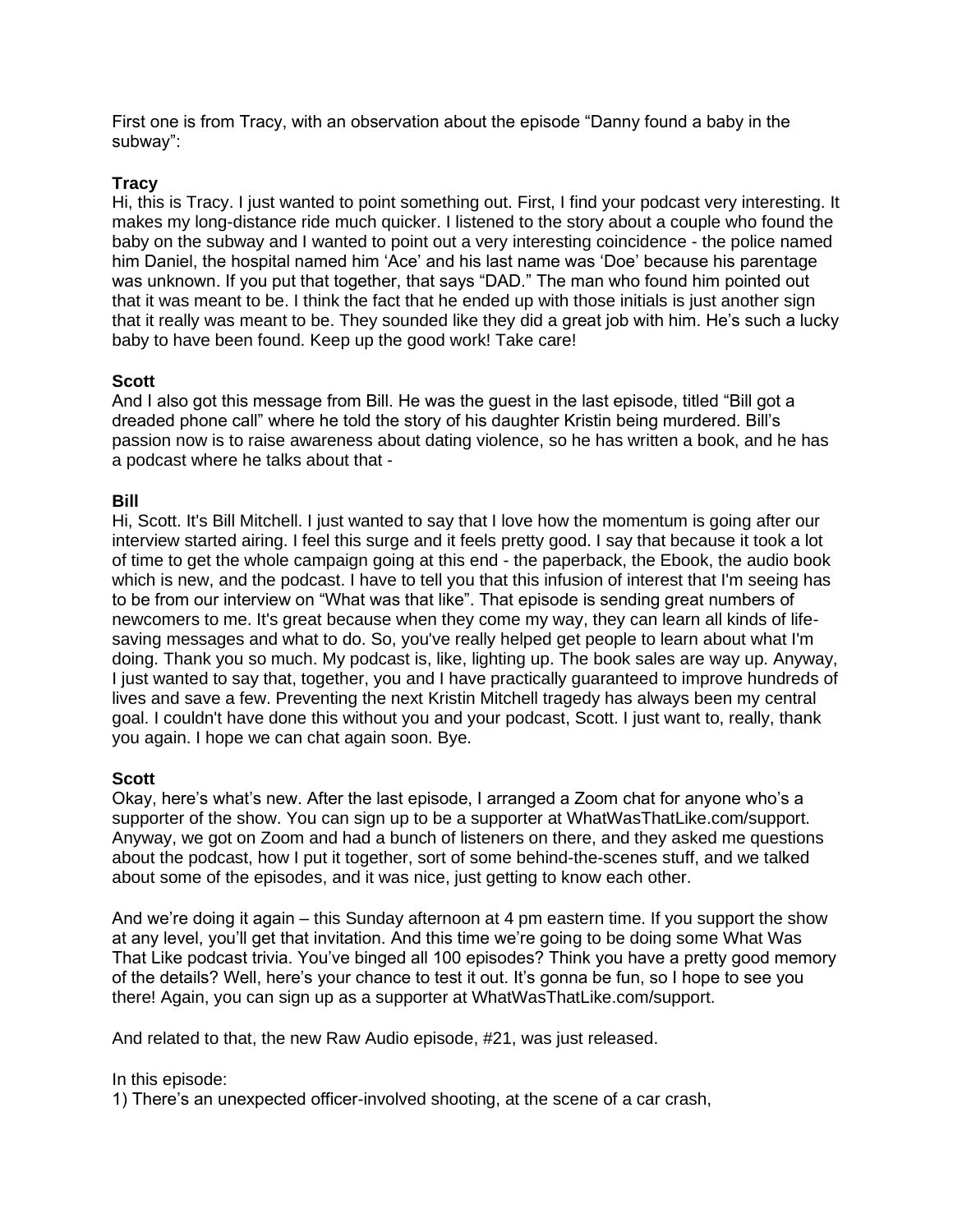First one is from Tracy, with an observation about the episode "Danny found a baby in the subway":

### **Tracy**

Hi, this is Tracy. I just wanted to point something out. First, I find your podcast very interesting. It makes my long-distance ride much quicker. I listened to the story about a couple who found the baby on the subway and I wanted to point out a very interesting coincidence - the police named him Daniel, the hospital named him 'Ace' and his last name was 'Doe' because his parentage was unknown. If you put that together, that says "DAD." The man who found him pointed out that it was meant to be. I think the fact that he ended up with those initials is just another sign that it really was meant to be. They sounded like they did a great job with him. He's such a lucky baby to have been found. Keep up the good work! Take care!

### **Scott**

And I also got this message from Bill. He was the guest in the last episode, titled "Bill got a dreaded phone call" where he told the story of his daughter Kristin being murdered. Bill's passion now is to raise awareness about dating violence, so he has written a book, and he has a podcast where he talks about that -

### **Bill**

Hi, Scott. It's Bill Mitchell. I just wanted to say that I love how the momentum is going after our interview started airing. I feel this surge and it feels pretty good. I say that because it took a lot of time to get the whole campaign going at this end - the paperback, the Ebook, the audio book which is new, and the podcast. I have to tell you that this infusion of interest that I'm seeing has to be from our interview on "What was that like". That episode is sending great numbers of newcomers to me. It's great because when they come my way, they can learn all kinds of lifesaving messages and what to do. So, you've really helped get people to learn about what I'm doing. Thank you so much. My podcast is, like, lighting up. The book sales are way up. Anyway, I just wanted to say that, together, you and I have practically guaranteed to improve hundreds of lives and save a few. Preventing the next Kristin Mitchell tragedy has always been my central goal. I couldn't have done this without you and your podcast, Scott. I just want to, really, thank you again. I hope we can chat again soon. Bye.

#### **Scott**

Okay, here's what's new. After the last episode, I arranged a Zoom chat for anyone who's a supporter of the show. You can sign up to be a supporter at WhatWasThatLike.com/support. Anyway, we got on Zoom and had a bunch of listeners on there, and they asked me questions about the podcast, how I put it together, sort of some behind-the-scenes stuff, and we talked about some of the episodes, and it was nice, just getting to know each other.

And we're doing it again – this Sunday afternoon at 4 pm eastern time. If you support the show at any level, you'll get that invitation. And this time we're going to be doing some What Was That Like podcast trivia. You've binged all 100 episodes? Think you have a pretty good memory of the details? Well, here's your chance to test it out. It's gonna be fun, so I hope to see you there! Again, you can sign up as a supporter at WhatWasThatLike.com/support.

And related to that, the new Raw Audio episode, #21, was just released.

In this episode:

1) There's an unexpected officer-involved shooting, at the scene of a car crash,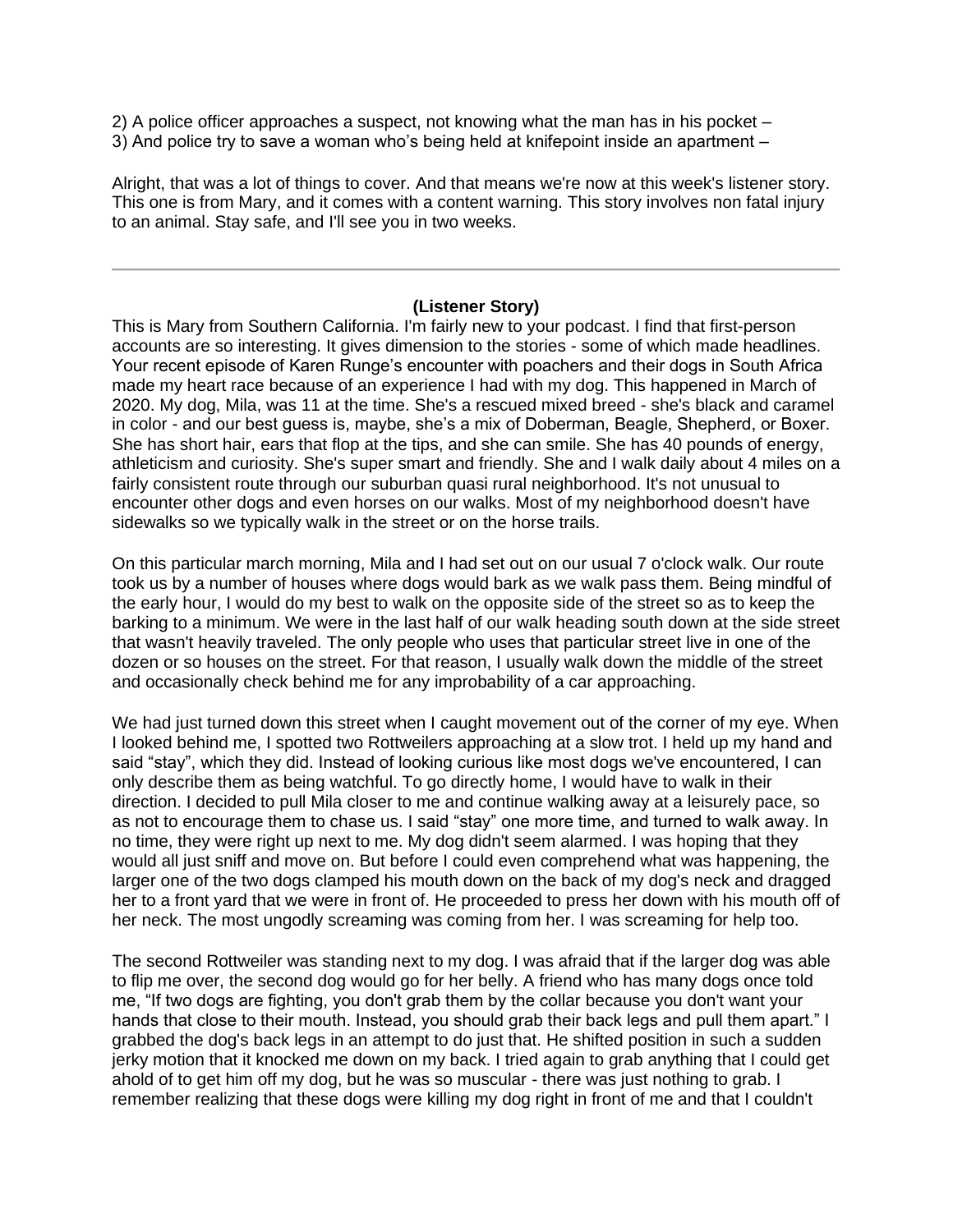2) A police officer approaches a suspect, not knowing what the man has in his pocket – 3) And police try to save a woman who's being held at knifepoint inside an apartment –

Alright, that was a lot of things to cover. And that means we're now at this week's listener story. This one is from Mary, and it comes with a content warning. This story involves non fatal injury to an animal. Stay safe, and I'll see you in two weeks.

#### **(Listener Story)**

This is Mary from Southern California. I'm fairly new to your podcast. I find that first-person accounts are so interesting. It gives dimension to the stories - some of which made headlines. Your recent episode of Karen Runge's encounter with poachers and their dogs in South Africa made my heart race because of an experience I had with my dog. This happened in March of 2020. My dog, Mila, was 11 at the time. She's a rescued mixed breed - she's black and caramel in color - and our best guess is, maybe, she's a mix of Doberman, Beagle, Shepherd, or Boxer. She has short hair, ears that flop at the tips, and she can smile. She has 40 pounds of energy, athleticism and curiosity. She's super smart and friendly. She and I walk daily about 4 miles on a fairly consistent route through our suburban quasi rural neighborhood. It's not unusual to encounter other dogs and even horses on our walks. Most of my neighborhood doesn't have sidewalks so we typically walk in the street or on the horse trails.

On this particular march morning, Mila and I had set out on our usual 7 o'clock walk. Our route took us by a number of houses where dogs would bark as we walk pass them. Being mindful of the early hour, I would do my best to walk on the opposite side of the street so as to keep the barking to a minimum. We were in the last half of our walk heading south down at the side street that wasn't heavily traveled. The only people who uses that particular street live in one of the dozen or so houses on the street. For that reason, I usually walk down the middle of the street and occasionally check behind me for any improbability of a car approaching.

We had just turned down this street when I caught movement out of the corner of my eye. When I looked behind me, I spotted two Rottweilers approaching at a slow trot. I held up my hand and said "stay", which they did. Instead of looking curious like most dogs we've encountered, I can only describe them as being watchful. To go directly home, I would have to walk in their direction. I decided to pull Mila closer to me and continue walking away at a leisurely pace, so as not to encourage them to chase us. I said "stay" one more time, and turned to walk away. In no time, they were right up next to me. My dog didn't seem alarmed. I was hoping that they would all just sniff and move on. But before I could even comprehend what was happening, the larger one of the two dogs clamped his mouth down on the back of my dog's neck and dragged her to a front yard that we were in front of. He proceeded to press her down with his mouth off of her neck. The most ungodly screaming was coming from her. I was screaming for help too.

The second Rottweiler was standing next to my dog. I was afraid that if the larger dog was able to flip me over, the second dog would go for her belly. A friend who has many dogs once told me, "If two dogs are fighting, you don't grab them by the collar because you don't want your hands that close to their mouth. Instead, you should grab their back legs and pull them apart." I grabbed the dog's back legs in an attempt to do just that. He shifted position in such a sudden jerky motion that it knocked me down on my back. I tried again to grab anything that I could get ahold of to get him off my dog, but he was so muscular - there was just nothing to grab. I remember realizing that these dogs were killing my dog right in front of me and that I couldn't